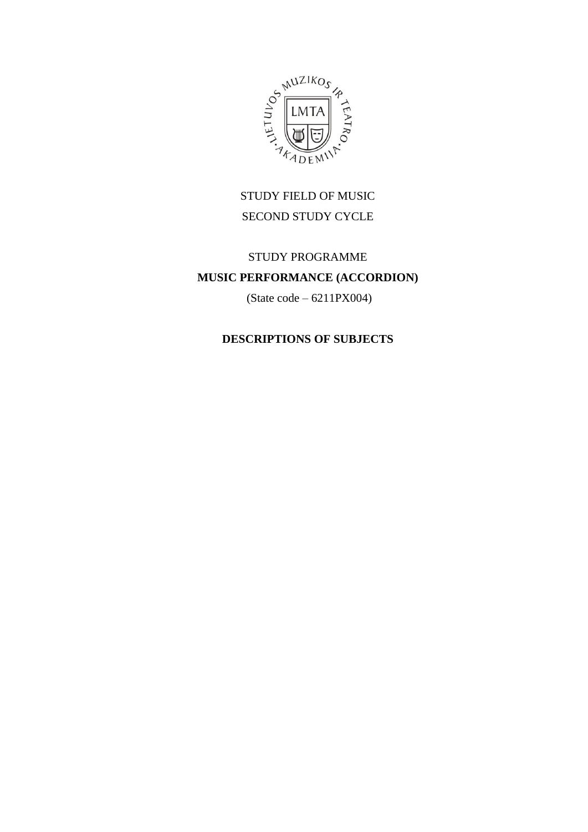

# STUDY FIELD OF MUSIC SECOND STUDY CYCLE

# STUDY PROGRAMME **MUSIC PERFORMANCE (ACCORDION)**

(State code – 6211PX004)

# **DESCRIPTIONS OF SUBJECTS**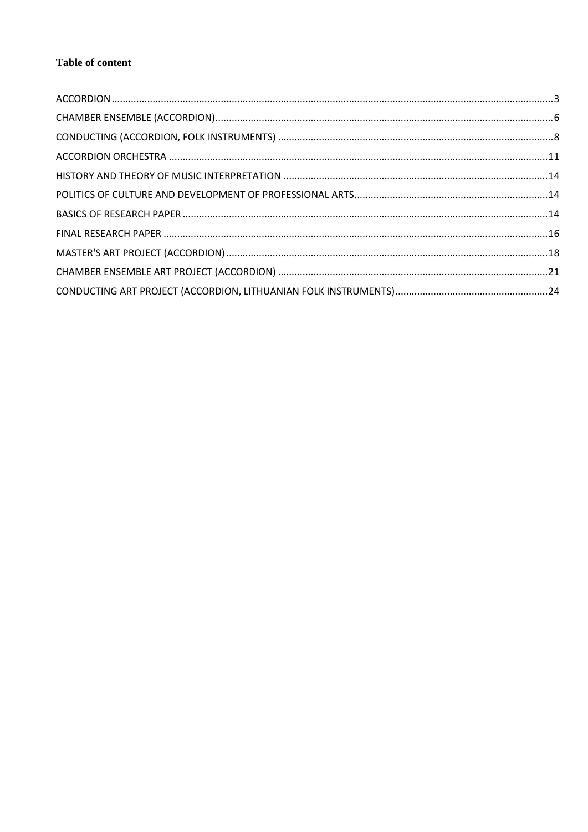## **Table of content**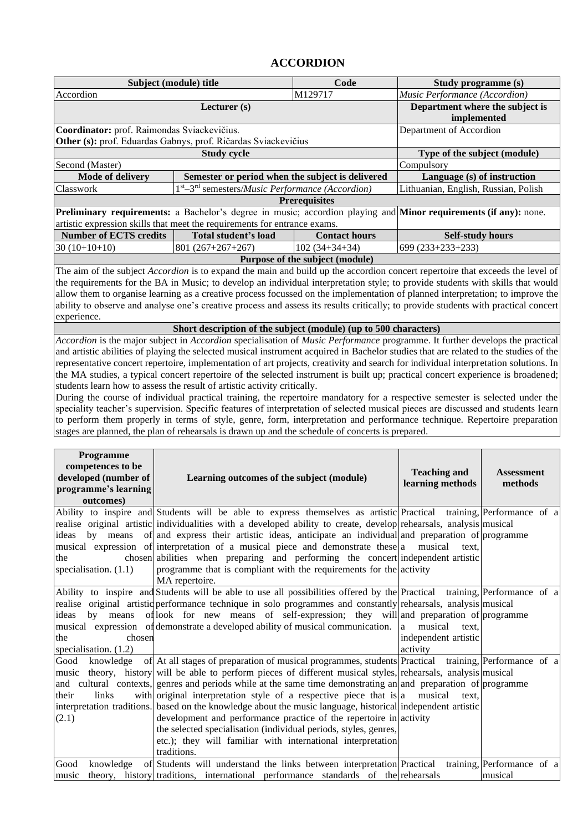#### **ACCORDION**

<span id="page-2-0"></span>

| Subject (module) title                                                    |                                                                                  | Code                 | Study programme (s)                                                                                              |  |  |
|---------------------------------------------------------------------------|----------------------------------------------------------------------------------|----------------------|------------------------------------------------------------------------------------------------------------------|--|--|
| Accordion                                                                 |                                                                                  | M129717              | Music Performance (Accordion)                                                                                    |  |  |
|                                                                           | Lecturer $(s)$                                                                   |                      | Department where the subject is                                                                                  |  |  |
|                                                                           | implemented                                                                      |                      |                                                                                                                  |  |  |
| Coordinator: prof. Raimondas Sviackevičius.                               |                                                                                  |                      | Department of Accordion                                                                                          |  |  |
| Other (s): prof. Eduardas Gabnys, prof. Ričardas Sviackevičius            |                                                                                  |                      |                                                                                                                  |  |  |
|                                                                           | Type of the subject (module)                                                     |                      |                                                                                                                  |  |  |
| Second (Master)                                                           |                                                                                  |                      | Compulsory                                                                                                       |  |  |
| <b>Mode of delivery</b>                                                   | Semester or period when the subject is delivered                                 |                      | Language (s) of instruction                                                                                      |  |  |
| Classwork                                                                 | 1 <sup>st</sup> -3 <sup>rd</sup> semesters/ <i>Music Performance</i> (Accordion) |                      | Lithuanian, English, Russian, Polish                                                                             |  |  |
|                                                                           |                                                                                  | <b>Prerequisites</b> |                                                                                                                  |  |  |
|                                                                           |                                                                                  |                      | Preliminary requirements: a Bachelor's degree in music; accordion playing and Minor requirements (if any): none. |  |  |
| artistic expression skills that meet the requirements for entrance exams. |                                                                                  |                      |                                                                                                                  |  |  |
| <b>Number of ECTS credits</b>                                             | Total student's load                                                             | <b>Contact hours</b> | <b>Self-study hours</b>                                                                                          |  |  |
| $30(10+10+10)$                                                            | $801(267+267+267)$                                                               | $102(34+34+34)$      | $699(233+233+233)$                                                                                               |  |  |
| Purpose of the subject (module)                                           |                                                                                  |                      |                                                                                                                  |  |  |

The aim of the subject *Accordion* is to expand the main and build up the accordion concert repertoire that exceeds the level of the requirements for the BA in Music; to develop an individual interpretation style; to provide students with skills that would allow them to organise learning as a creative process focussed on the implementation of planned interpretation; to improve the ability to observe and analyse one's creative process and assess its results critically; to provide students with practical concert experience.

#### **Short description of the subject (module) (up to 500 characters)**

*Accordion* is the major subject in *Accordion* specialisation of *Music Performance* programme. It further develops the practical and artistic abilities of playing the selected musical instrument acquired in Bachelor studies that are related to the studies of the representative concert repertoire, implementation of art projects, creativity and search for individual interpretation solutions. In the MA studies, a typical concert repertoire of the selected instrument is built up; practical concert experience is broadened; students learn how to assess the result of artistic activity critically.

During the course of individual practical training, the repertoire mandatory for a respective semester is selected under the speciality teacher's supervision. Specific features of interpretation of selected musical pieces are discussed and students learn to perform them properly in terms of style, genre, form, interpretation and performance technique. Repertoire preparation stages are planned, the plan of rehearsals is drawn up and the schedule of concerts is prepared.

| Programme<br>competences to be<br>developed (number of<br>programme's learning<br>outcomes) | Learning outcomes of the subject (module)                                                                                                                                                                                                                                                                                                                                                                                                                                                                                                                                                                                                                                                                                                                             | <b>Teaching and</b><br>learning methods                   | <b>Assessment</b><br>methods          |
|---------------------------------------------------------------------------------------------|-----------------------------------------------------------------------------------------------------------------------------------------------------------------------------------------------------------------------------------------------------------------------------------------------------------------------------------------------------------------------------------------------------------------------------------------------------------------------------------------------------------------------------------------------------------------------------------------------------------------------------------------------------------------------------------------------------------------------------------------------------------------------|-----------------------------------------------------------|---------------------------------------|
| the<br>specialisation. $(1.1)$                                                              | Ability to inspire and Students will be able to express themselves as artistic Practical training, Performance of a<br>realise original artistic individualities with a developed ability to create, develop rehearsals, analysis musical<br>ideas by means of and express their artistic ideas, anticipate an individual and preparation of programme<br>musical expression of interpretation of a musical piece and demonstrate these a musical<br>chosen abilities when preparing and performing the concert independent artistic<br>programme that is compliant with the requirements for the activity<br>MA repertoire.                                                                                                                                          | text.                                                     |                                       |
| ideas<br>chosen<br>the<br>specialisation. $(1.2)$                                           | Ability to inspire and Students will be able to use all possibilities offered by the Practical training, Performance of a<br>realise original artistic performance technique in solo programmes and constantly rehearsals, analysis musical<br>by means of look for new means of self-expression; they will and preparation of programme<br>musical expression of demonstrate a developed ability of musical communication.                                                                                                                                                                                                                                                                                                                                           | musical<br>a<br>text.<br>independent artistic<br>activity |                                       |
| Good<br>music<br>their<br>links<br>(2.1)                                                    | knowledge of At all stages of preparation of musical programmes, students Practical training, Performance of a<br>theory, history will be able to perform pieces of different musical styles, rehearsals, analysis musical<br>and cultural contexts, genres and periods while at the same time demonstrating an and preparation of programme<br>with original interpretation style of a respective piece that is $ a $ musical<br>interpretation traditions. based on the knowledge about the music language, historical independent artistic<br>development and performance practice of the repertoire in activity<br>the selected specialisation (individual periods, styles, genres,<br>etc.); they will familiar with international interpretation<br>traditions. | text.                                                     |                                       |
| Good<br>music                                                                               | knowledge of Students will understand the links between interpretation Practical<br>theory, history traditions, international performance standards of the rehearsals                                                                                                                                                                                                                                                                                                                                                                                                                                                                                                                                                                                                 |                                                           | training, Performance of a<br>musical |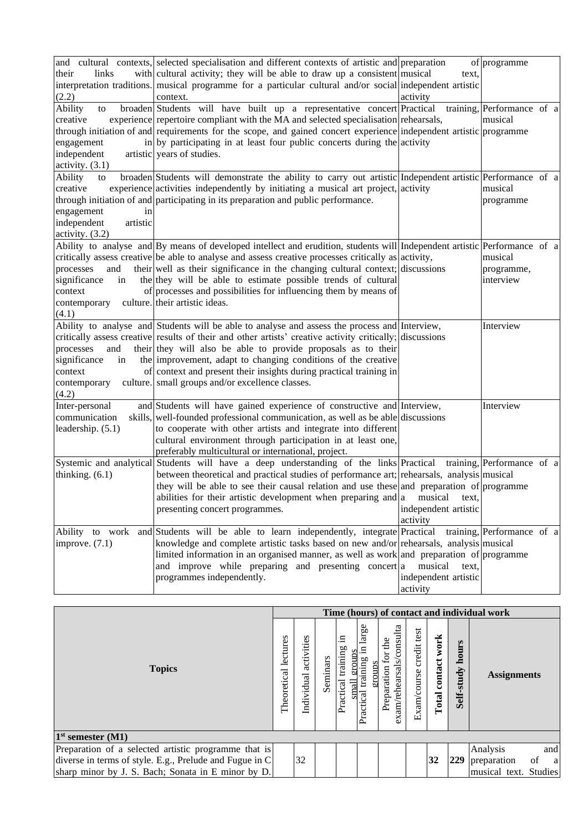|                         | and cultural contexts, selected specialisation and different contexts of artistic and preparation                         |                      | of programme               |
|-------------------------|---------------------------------------------------------------------------------------------------------------------------|----------------------|----------------------------|
| their<br>links          | with cultural activity; they will be able to draw up a consistent musical                                                 | text,                |                            |
|                         | interpretation traditions. musical programme for a particular cultural and/or social independent artistic                 |                      |                            |
| (2.2)                   | context.                                                                                                                  | activity             |                            |
| Ability<br>to           | broaden Students will have built up a representative concert Practical                                                    |                      | training, Performance of a |
| creative                | experience repertoire compliant with the MA and selected specialisation rehearsals,                                       |                      | musical                    |
|                         | through initiation of and requirements for the scope, and gained concert experience independent artistic programme        |                      |                            |
| engagement              | in by participating in at least four public concerts during the activity                                                  |                      |                            |
| independent             | artistic years of studies.                                                                                                |                      |                            |
| activity. $(3.1)$       |                                                                                                                           |                      |                            |
| Ability<br>to           | broaden Students will demonstrate the ability to carry out artistic Independent artistic Performance of a                 |                      |                            |
| creative                | experience activities independently by initiating a musical art project, activity                                         |                      | musical                    |
|                         | through initiation of and participating in its preparation and public performance.                                        |                      | programme                  |
| engagement<br>in        |                                                                                                                           |                      |                            |
| independent<br>artistic |                                                                                                                           |                      |                            |
| activity. $(3.2)$       |                                                                                                                           |                      |                            |
|                         | Ability to analyse and By means of developed intellect and erudition, students will Independent artistic Performance of a |                      |                            |
|                         | critically assess creative be able to analyse and assess creative processes critically as activity,                       |                      | musical                    |
| processes<br>and        | their well as their significance in the changing cultural context; discussions                                            |                      | programme,                 |
| significance<br>in      | the they will be able to estimate possible trends of cultural                                                             |                      | interview                  |
| context                 | of processes and possibilities for influencing them by means of                                                           |                      |                            |
| contemporary            | culture. their artistic ideas.                                                                                            |                      |                            |
| (4.1)                   |                                                                                                                           |                      |                            |
|                         | Ability to analyse and Students will be able to analyse and assess the process and Interview,                             |                      | Interview                  |
|                         | critically assess creative results of their and other artists' creative activity critically; discussions                  |                      |                            |
| processes<br>and        | their they will also be able to provide proposals as to their                                                             |                      |                            |
| significance<br>in      | the improvement, adapt to changing conditions of the creative                                                             |                      |                            |
| context                 | of context and present their insights during practical training in                                                        |                      |                            |
| contemporary            | culture. small groups and/or excellence classes.                                                                          |                      |                            |
| (4.2)                   |                                                                                                                           |                      |                            |
| Inter-personal          | and Students will have gained experience of constructive and Interview,                                                   |                      | Interview                  |
| communication           | skills, well-founded professional communication, as well as be able discussions                                           |                      |                            |
| leadership. (5.1)       | to cooperate with other artists and integrate into different                                                              |                      |                            |
|                         | cultural environment through participation in at least one,                                                               |                      |                            |
|                         | preferably multicultural or international, project.                                                                       |                      |                            |
|                         | Systemic and analytical Students will have a deep understanding of the links Practical training, Performance of a         |                      |                            |
| thinking. $(6.1)$       | between theoretical and practical studies of performance art; rehearsals, analysis musical                                |                      |                            |
|                         | they will be able to see their causal relation and use these and preparation of programme                                 |                      |                            |
|                         | abilities for their artistic development when preparing and $ a$ musical text,                                            |                      |                            |
|                         | presenting concert programmes.                                                                                            | independent artistic |                            |
|                         |                                                                                                                           | activity             |                            |
|                         | Ability to work and Students will be able to learn independently, integrate Practical training, Performance of a          |                      |                            |
| improve. $(7.1)$        | knowledge and complete artistic tasks based on new and/or rehearsals, analysis musical                                    |                      |                            |
|                         | limited information in an organised manner, as well as work and preparation of programme                                  |                      |                            |
|                         | and improve while preparing and presenting concert a                                                                      | musical<br>text.     |                            |
|                         | programmes independently.                                                                                                 | independent artistic |                            |
|                         |                                                                                                                           | activity             |                            |

|                                                         |  | Time (hours) of contact and individual work |          |                                               |                                          |                                                    |                            |                          |                     |                                       |
|---------------------------------------------------------|--|---------------------------------------------|----------|-----------------------------------------------|------------------------------------------|----------------------------------------------------|----------------------------|--------------------------|---------------------|---------------------------------------|
| <b>Topics</b>                                           |  | activities<br>Individual                    | Seminars | 드.<br>training<br>group<br>small<br>Practical | large<br>training<br>eroups<br>Practical | exam/rehearsals/consulta<br>for the<br>Preparation | credit test<br>Exam/course | work<br>contact<br>Total | hours<br>Self-study | <b>Assignments</b>                    |
| $1st$ semester $(M1)$                                   |  |                                             |          |                                               |                                          |                                                    |                            |                          |                     |                                       |
| Preparation of a selected artistic programme that is    |  |                                             |          |                                               |                                          |                                                    |                            |                          |                     | and<br>Analysis                       |
| diverse in terms of style. E.g., Prelude and Fugue in C |  | 32                                          |          |                                               |                                          |                                                    |                            | 32                       |                     | 229 preparation<br>of<br><sub>a</sub> |
| sharp minor by J. S. Bach; Sonata in E minor by D.      |  |                                             |          |                                               |                                          |                                                    |                            |                          |                     | musical text. Studies                 |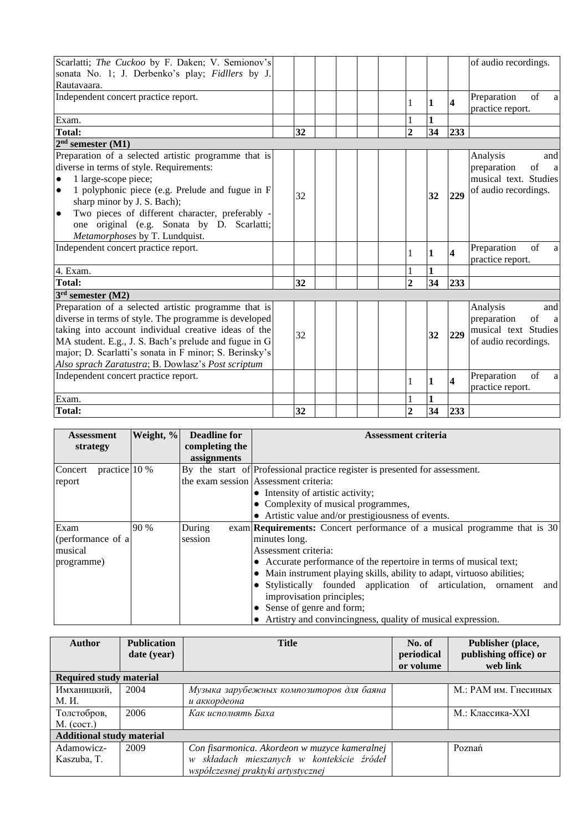| Scarlatti; The Cuckoo by F. Daken; V. Semionov's             |    |  |                |              |                         | of audio recordings.              |
|--------------------------------------------------------------|----|--|----------------|--------------|-------------------------|-----------------------------------|
| sonata No. 1; J. Derbenko's play; Fidllers by J.             |    |  |                |              |                         |                                   |
| Rautavaara.                                                  |    |  |                |              |                         |                                   |
| Independent concert practice report.                         |    |  | 1              | 1            | $\overline{\mathbf{4}}$ | of<br>Preparation<br>a            |
|                                                              |    |  |                |              |                         | practice report.                  |
| Exam.                                                        |    |  |                | $\mathbf{1}$ |                         |                                   |
| <b>Total:</b>                                                | 32 |  | $\overline{2}$ | 34           | 233                     |                                   |
| $2nd$ semester $(M1)$                                        |    |  |                |              |                         |                                   |
| Preparation of a selected artistic programme that is         |    |  |                |              |                         | Analysis<br>and                   |
| diverse in terms of style. Requirements:                     |    |  |                |              |                         | of<br>preparation<br><sub>a</sub> |
| 1 large-scope piece;<br>$\bullet$                            |    |  |                |              |                         | musical text. Studies             |
| 1 polyphonic piece (e.g. Prelude and fugue in F<br>$\bullet$ | 32 |  |                | 32           | 229                     | of audio recordings.              |
| sharp minor by J. S. Bach);                                  |    |  |                |              |                         |                                   |
| Two pieces of different character, preferably -<br>$\bullet$ |    |  |                |              |                         |                                   |
| one original (e.g. Sonata by D. Scarlatti;                   |    |  |                |              |                         |                                   |
| Metamorphoses by T. Lundquist.                               |    |  |                |              |                         |                                   |
| Independent concert practice report.                         |    |  |                | $\mathbf{1}$ | $\overline{\mathbf{4}}$ | Preparation<br>of<br>a            |
|                                                              |    |  | 1              |              |                         | practice report.                  |
| 4. Exam.                                                     |    |  |                | $\mathbf{1}$ |                         |                                   |
| <b>Total:</b>                                                | 32 |  | $\overline{2}$ | 34           | 233                     |                                   |
| $3rd$ semester (M2)                                          |    |  |                |              |                         |                                   |
| Preparation of a selected artistic programme that is         |    |  |                |              |                         | Analysis<br>and                   |
| diverse in terms of style. The programme is developed        |    |  |                |              |                         | preparation<br>of<br>a            |
| taking into account individual creative ideas of the         | 32 |  |                | 32           | 229                     | musical text Studies              |
| MA student. E.g., J. S. Bach's prelude and fugue in G        |    |  |                |              |                         | of audio recordings.              |
| major; D. Scarlatti's sonata in F minor; S. Berinsky's       |    |  |                |              |                         |                                   |
| Also sprach Zaratustra; B. Dowlasz's Post scriptum           |    |  |                |              |                         |                                   |
| Independent concert practice report.                         |    |  | $\mathbf{1}$   | $\mathbf{1}$ | $\overline{\mathbf{4}}$ | Preparation<br>of<br>a            |
|                                                              |    |  |                |              |                         | practice report.                  |
| Exam.                                                        |    |  |                | 1            |                         |                                   |
| <b>Total:</b>                                                | 32 |  | $\overline{2}$ | 34           | 233                     |                                   |

| Assessment               | Weight, % | <b>Deadline for</b> | <b>Assessment criteria</b>                                                      |  |
|--------------------------|-----------|---------------------|---------------------------------------------------------------------------------|--|
| strategy                 |           | completing the      |                                                                                 |  |
|                          |           | assignments         |                                                                                 |  |
| practice 10 %<br>Concert |           |                     | By the start of Professional practice register is presented for assessment.     |  |
| report                   |           |                     | the exam session Assessment criteria:                                           |  |
|                          |           |                     | • Intensity of artistic activity;                                               |  |
|                          |           |                     | • Complexity of musical programmes,                                             |  |
|                          |           |                     | • Artistic value and/or prestigiousness of events.                              |  |
| Exam                     | 90 %      | During              | exam <b>Requirements:</b> Concert performance of a musical programme that is 30 |  |
| (performance of a        |           | session             | minutes long.                                                                   |  |
| musical                  |           |                     | Assessment criteria:                                                            |  |
| programme)               |           |                     | • Accurate performance of the repertoire in terms of musical text;              |  |
|                          |           |                     | • Main instrument playing skills, ability to adapt, virtuoso abilities;         |  |
|                          |           |                     | • Stylistically founded application of articulation, ornament<br>and            |  |
|                          |           |                     | improvisation principles;                                                       |  |
|                          |           |                     | • Sense of genre and form;                                                      |  |
|                          |           |                     | • Artistry and convincingness, quality of musical expression.                   |  |

| <b>Author</b>                    | <b>Publication</b> | <b>Title</b>                                  | No. of     | Publisher (place,     |
|----------------------------------|--------------------|-----------------------------------------------|------------|-----------------------|
|                                  | date (year)        |                                               | periodical | publishing office) or |
|                                  |                    |                                               | or volume  | web link              |
| <b>Required study material</b>   |                    |                                               |            |                       |
| Имханицкий,                      | 2004               | Музыка зарубежных композиторов для баяна      |            | М.: РАМ им. Гнесиных  |
| М. И.                            |                    | и аккордеона                                  |            |                       |
| Толстобров,                      | 2006               | Как исполнять Баха                            |            | М.: Классика-XXI      |
| $M.$ (coct.)                     |                    |                                               |            |                       |
| <b>Additional study material</b> |                    |                                               |            |                       |
| Adamowicz-                       | 2009               | Con fisarmonica. Akordeon w muzyce kameralnej |            | Poznań                |
| Kaszuba, T.                      |                    | w składach mieszanych w kontekście źródeł     |            |                       |
|                                  |                    | współczesnej praktyki artystycznej            |            |                       |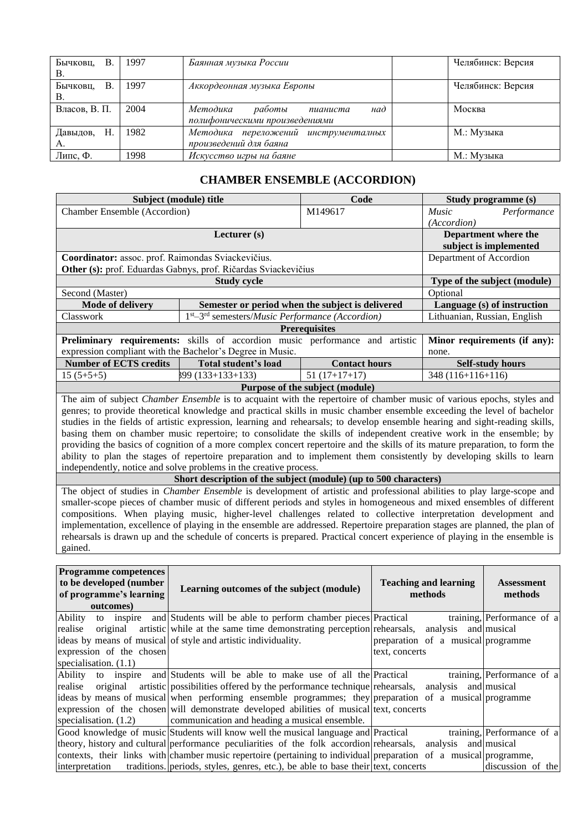| Бычковц,<br>В.<br>В. | 1997 | Баянная музыка России                                                   | Челябинск: Версия |
|----------------------|------|-------------------------------------------------------------------------|-------------------|
| Бычковц,<br>В.<br>В. | 1997 | Аккордеонная музыка Европы                                              | Челябинск: Версия |
| Власов, В. П.        | 2004 | Методика<br>работы<br>над<br>пианиста<br>полифоническими произведениями | Москва            |
| Н.<br>Давыдов,<br>А. | 1982 | Методика переложений инструменталных<br>произведений для баяна          | М.: Музыка        |
| Липс, Ф.             | 1998 | Искусство игры на баяне                                                 | М.: Музыка        |

### **CHAMBER ENSEMBLE (ACCORDION)**

<span id="page-5-0"></span>

| Subject (module) title                                                                  |                                                                                     | Code                                             | Study programme (s)          |
|-----------------------------------------------------------------------------------------|-------------------------------------------------------------------------------------|--------------------------------------------------|------------------------------|
| <b>Chamber Ensemble (Accordion)</b>                                                     |                                                                                     | M149617                                          | <i>Music</i><br>Performance  |
|                                                                                         |                                                                                     |                                                  | (Accordion)                  |
|                                                                                         | Lecturer $(s)$                                                                      |                                                  | Department where the         |
|                                                                                         |                                                                                     |                                                  | subject is implemented       |
| Coordinator: assoc. prof. Raimondas Sviackevičius.                                      |                                                                                     |                                                  | Department of Accordion      |
|                                                                                         | Other (s): prof. Eduardas Gabnys, prof. Ričardas Sviackevičius                      |                                                  |                              |
|                                                                                         | <b>Study cycle</b>                                                                  |                                                  | Type of the subject (module) |
| Second (Master)                                                                         |                                                                                     |                                                  | Optional                     |
| <b>Mode of delivery</b>                                                                 |                                                                                     | Semester or period when the subject is delivered | Language (s) of instruction  |
| <b>Classwork</b>                                                                        | $1st - 3rd$ semesters/ <i>Music Performance</i> ( <i>Accordion</i> )                |                                                  | Lithuanian, Russian, English |
|                                                                                         |                                                                                     | <b>Prerequisites</b>                             |                              |
|                                                                                         | <b>Preliminary requirements:</b> skills of accordion music performance and artistic |                                                  | Minor requirements (if any): |
| expression compliant with the Bachelor's Degree in Music.                               |                                                                                     |                                                  | none.                        |
| <b>Number of ECTS credits</b>                                                           | Total student's load<br><b>Contact hours</b>                                        |                                                  | <b>Self-study hours</b>      |
| $15(5+5+5)$                                                                             | $899(133+133+133)$<br>$51(17+17+17)$                                                |                                                  | $348(116+116+116)$           |
|                                                                                         |                                                                                     |                                                  |                              |
| $\mathbf{m}$ , $\mathbf{r}$ , $\mathbf{r}$ , $\mathbf{r}$ , $\mathbf{r}$ , $\mathbf{r}$ |                                                                                     |                                                  |                              |

The aim of subject *Chamber Ensemble* is to acquaint with the repertoire of chamber music of various epochs, styles and genres; to provide theoretical knowledge and practical skills in music chamber ensemble exceeding the level of bachelor studies in the fields of artistic expression, learning and rehearsals; to develop ensemble hearing and sight-reading skills, basing them on chamber music repertoire; to consolidate the skills of independent creative work in the ensemble; by providing the basics of cognition of a more complex concert repertoire and the skills of its mature preparation, to form the ability to plan the stages of repertoire preparation and to implement them consistently by developing skills to learn independently, notice and solve problems in the creative process.

**Short description of the subject (module) (up to 500 characters)**

The object of studies in *Chamber Ensemble* is development of artistic and professional abilities to play large-scope and smaller-scope pieces of chamber music of different periods and styles in homogeneous and mixed ensembles of different compositions. When playing music, higher-level challenges related to collective interpretation development and implementation, excellence of playing in the ensemble are addressed. Repertoire preparation stages are planned, the plan of rehearsals is drawn up and the schedule of concerts is prepared. Practical concert experience of playing in the ensemble is gained.

| <b>Programme competences</b><br>to be developed (number<br>of programme's learning<br>outcomes) | Learning outcomes of the subject (module)                                                                         | <b>Teaching and learning</b><br>methods | <b>Assessment</b><br>methods |
|-------------------------------------------------------------------------------------------------|-------------------------------------------------------------------------------------------------------------------|-----------------------------------------|------------------------------|
| Ability                                                                                         | to inspire and Students will be able to perform chamber pieces Practical                                          |                                         | training, Performance of a   |
| realise<br>original                                                                             | artistic while at the same time demonstrating perception rehearsals, analysis and musical                         |                                         |                              |
|                                                                                                 | ideas by means of musical of style and artistic individuality.                                                    | preparation of a musical programme      |                              |
| expression of the chosen                                                                        |                                                                                                                   | text, concerts                          |                              |
| specialisation. $(1.1)$                                                                         |                                                                                                                   |                                         |                              |
|                                                                                                 | Ability to inspire and Students will be able to make use of all the Practical                                     |                                         | training, Performance of a   |
| realise original                                                                                | artistic possibilities offered by the performance technique rehearsals, analysis and musical                      |                                         |                              |
|                                                                                                 | ideas by means of musical when performing ensemble programmes; they preparation of a musical programme            |                                         |                              |
|                                                                                                 | expression of the chosen will demonstrate developed abilities of musical text, concerts                           |                                         |                              |
| specialisation. $(1.2)$                                                                         | communication and heading a musical ensemble.                                                                     |                                         |                              |
|                                                                                                 | Good knowledge of music Students will know well the musical language and Practical                                |                                         | training, Performance of a   |
|                                                                                                 | theory, history and cultural performance peculiarities of the folk accordion rehearsals, analysis and musical     |                                         |                              |
|                                                                                                 | contexts, their links with chamber music repertoire (pertaining to individual preparation of a musical programme, |                                         |                              |
| interpretation                                                                                  | traditions. periods, styles, genres, etc.), be able to base their text, concerts                                  |                                         | discussion of the            |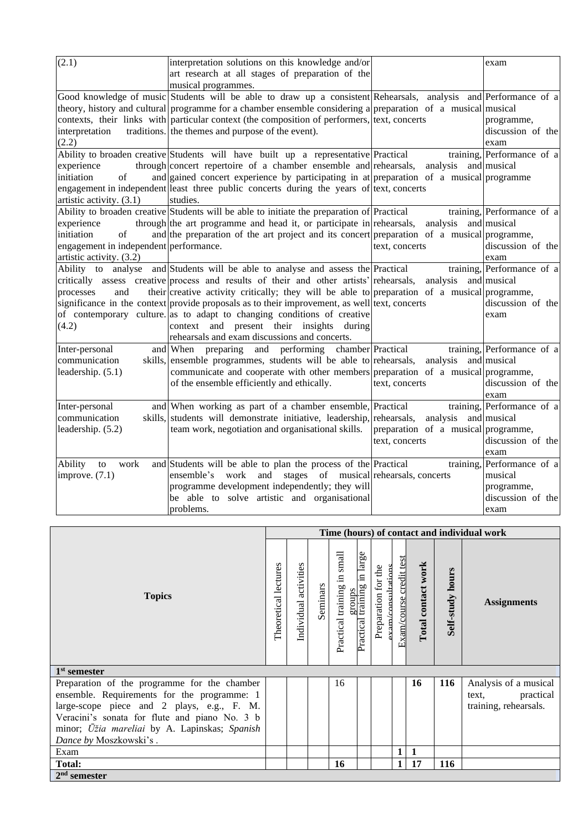| (2.1)                                  | interpretation solutions on this knowledge and/or                                                               |                                     | exam                         |
|----------------------------------------|-----------------------------------------------------------------------------------------------------------------|-------------------------------------|------------------------------|
|                                        | art research at all stages of preparation of the                                                                |                                     |                              |
|                                        | musical programmes.                                                                                             |                                     |                              |
|                                        | Good knowledge of music Students will be able to draw up a consistent Rehearsals, analysis and Performance of a |                                     |                              |
|                                        | theory, history and cultural programme for a chamber ensemble considering a preparation of a musical musical    |                                     |                              |
|                                        | contexts, their links with particular context (the composition of performers, $ \text{text},\text{correct} $    |                                     | programme,                   |
| interpretation                         | traditions. the themes and purpose of the event).                                                               |                                     | discussion of the            |
| (2.2)                                  |                                                                                                                 |                                     | exam                         |
|                                        | Ability to broaden creative Students will have built up a representative Practical                              |                                     | training, Performance of $a$ |
| experience                             | through concert repertoire of a chamber ensemble and rehearsals,                                                | analysis and musical                |                              |
| initiation<br>$\sigma$ f               | and gained concert experience by participating in at preparation of a musical programme                         |                                     |                              |
|                                        | engagement in independent least three public concerts during the years of text, concerts                        |                                     |                              |
| artistic activity. (3.1)               | studies.                                                                                                        |                                     |                              |
|                                        | Ability to broaden creative Students will be able to initiate the preparation of Practical                      |                                     | training, Performance of a   |
| experience                             | through the art programme and head it, or participate in rehearsals,                                            | analysis and musical                |                              |
| initiation<br>of                       | and the preparation of the art project and its concert preparation of a musical programme,                      |                                     |                              |
| engagement in independent performance. |                                                                                                                 | text, concerts                      | discussion of the            |
| artistic activity. (3.2)               |                                                                                                                 |                                     | exam                         |
| Ability to analyse                     | and Students will be able to analyse and assess the Practical                                                   |                                     | training, Performance of a   |
|                                        | critically assess creative process and results of their and other artists' rehearsals,                          | analysis and musical                |                              |
| processes<br>and                       | their creative activity critically; they will be able to preparation of a musical programme,                    |                                     |                              |
|                                        | significance in the context provide proposals as to their improvement, as well text, concerts                   |                                     | discussion of the            |
|                                        | of contemporary culture. as to adapt to changing conditions of creative                                         |                                     | exam                         |
| (4.2)                                  | context and present their insights<br>during                                                                    |                                     |                              |
|                                        | rehearsals and exam discussions and concerts.                                                                   |                                     |                              |
| Inter-personal                         | chamber Practical<br>and When preparing<br>and performing                                                       |                                     | training, Performance of a   |
| communication                          | skills, ensemble programmes, students will be able to rehearsals,                                               | analysis and musical                |                              |
| leadership. (5.1)                      | communicate and cooperate with other members preparation of a musical programme,                                |                                     |                              |
|                                        | of the ensemble efficiently and ethically.                                                                      | text, concerts                      | discussion of the            |
|                                        |                                                                                                                 |                                     | exam                         |
| Inter-personal                         | and When working as part of a chamber ensemble, Practical                                                       |                                     | training, Performance of a   |
| communication                          | skills, students will demonstrate initiative, leadership,                                                       | analysis and musical<br>rehearsals, |                              |
| leadership. (5.2)                      | team work, negotiation and organisational skills.                                                               | preparation of a musical programme, |                              |
|                                        |                                                                                                                 | text, concerts                      | discussion of the            |
|                                        |                                                                                                                 |                                     | exam                         |
| work<br>Ability<br>to                  | and Students will be able to plan the process of the Practical                                                  | training,                           | Performance of a             |
| improve. $(7.1)$                       | work<br>and stages of musical rehearsals, concerts<br>ensemble's                                                |                                     | musical                      |
|                                        | programme development independently; they will                                                                  |                                     | programme,                   |
|                                        | be able to solve artistic and organisational                                                                    |                                     | discussion of the            |
|                                        | problems.                                                                                                       |                                     | exam                         |

|                                                                                                                                                                                                                                                                       | Time (hours) of contact and individual work |                          |          |                                |                                               |                     |                            |                    |                     |                                                                      |
|-----------------------------------------------------------------------------------------------------------------------------------------------------------------------------------------------------------------------------------------------------------------------|---------------------------------------------|--------------------------|----------|--------------------------------|-----------------------------------------------|---------------------|----------------------------|--------------------|---------------------|----------------------------------------------------------------------|
| <b>Topics</b>                                                                                                                                                                                                                                                         | Theoretical lectures                        | activities<br>Individual | Seminars | small<br>Practical training in | in large<br>groups<br>I training<br>Practical | Preparation for the | credit test<br>Exam/course | Total contact work | hours<br>Self-study | <b>Assignments</b>                                                   |
| $1st$ semester                                                                                                                                                                                                                                                        |                                             |                          |          |                                |                                               |                     |                            |                    |                     |                                                                      |
| Preparation of the programme for the chamber<br>ensemble. Requirements for the programme: 1<br>large-scope piece and 2 plays, e.g., F. M.<br>Veracini's sonata for flute and piano No. 3 b<br>minor; Ūžia mareliai by A. Lapinskas; Spanish<br>Dance by Moszkowski's. |                                             |                          |          | 16                             |                                               |                     |                            | 16                 | <b>116</b>          | Analysis of a musical<br>practical<br>text,<br>training, rehearsals. |
| Exam                                                                                                                                                                                                                                                                  |                                             |                          |          |                                |                                               |                     | 1                          | 1                  |                     |                                                                      |
| <b>Total:</b>                                                                                                                                                                                                                                                         |                                             |                          |          | 16                             |                                               |                     | 1                          | 17                 | <b>116</b>          |                                                                      |
| $2nd$ semester                                                                                                                                                                                                                                                        |                                             |                          |          |                                |                                               |                     |                            |                    |                     |                                                                      |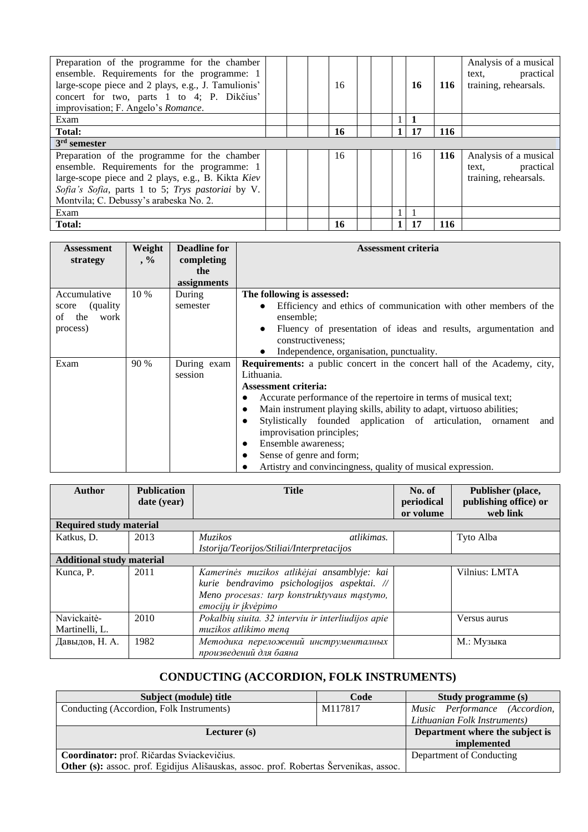| Preparation of the programme for the chamber<br>ensemble. Requirements for the programme: 1<br>large-scope piece and 2 plays, e.g., J. Tamulionis'<br>concert for two, parts 1 to 4; P. Dikčius'<br>improvisation; F. Angelo's Romance.          |  | 16  |  | 16 | 116 | Analysis of a musical<br>practical<br>text.<br>training, rehearsals. |
|--------------------------------------------------------------------------------------------------------------------------------------------------------------------------------------------------------------------------------------------------|--|-----|--|----|-----|----------------------------------------------------------------------|
| Exam                                                                                                                                                                                                                                             |  |     |  |    |     |                                                                      |
| <b>Total:</b>                                                                                                                                                                                                                                    |  | 16  |  | 17 | 116 |                                                                      |
| $3rd$ semester                                                                                                                                                                                                                                   |  |     |  |    |     |                                                                      |
| Preparation of the programme for the chamber<br>ensemble. Requirements for the programme: 1<br>large-scope piece and 2 plays, e.g., B. Kikta Kiev<br>Sofia's Sofia, parts 1 to 5; Trys pastoriai by V.<br>Montvila; C. Debussy's arabeska No. 2. |  | 16  |  | 16 | 116 | Analysis of a musical<br>practical<br>text,<br>training, rehearsals. |
| Exam                                                                                                                                                                                                                                             |  |     |  |    |     |                                                                      |
| Total:                                                                                                                                                                                                                                           |  | -16 |  | 17 | 116 |                                                                      |

| Assessment         | Weight    | <b>Deadline for</b> | Assessment criteria                                                             |  |  |  |  |  |
|--------------------|-----------|---------------------|---------------------------------------------------------------------------------|--|--|--|--|--|
| strategy           | $\cdot$ % | completing          |                                                                                 |  |  |  |  |  |
|                    |           | the                 |                                                                                 |  |  |  |  |  |
|                    |           | assignments         |                                                                                 |  |  |  |  |  |
| Accumulative       | 10 %      | During              | The following is assessed:                                                      |  |  |  |  |  |
| (quality)<br>score |           | semester            | Efficiency and ethics of communication with other members of the                |  |  |  |  |  |
| the<br>work<br>οf  |           |                     | ensemble;                                                                       |  |  |  |  |  |
| process)           |           |                     | Fluency of presentation of ideas and results, argumentation and<br>$\bullet$    |  |  |  |  |  |
|                    |           |                     | constructiveness;                                                               |  |  |  |  |  |
|                    |           |                     | Independence, organisation, punctuality.                                        |  |  |  |  |  |
| Exam               | 90 %      | During exam         | <b>Requirements:</b> a public concert in the concert hall of the Academy, city, |  |  |  |  |  |
|                    |           | session             | Lithuania.                                                                      |  |  |  |  |  |
|                    |           |                     | Assessment criteria:                                                            |  |  |  |  |  |
|                    |           |                     | Accurate performance of the repertoire in terms of musical text;                |  |  |  |  |  |
|                    |           |                     | Main instrument playing skills, ability to adapt, virtuoso abilities;           |  |  |  |  |  |
|                    |           |                     | Stylistically founded application of articulation,<br>ornament<br>and<br>٠      |  |  |  |  |  |
|                    |           |                     | improvisation principles;                                                       |  |  |  |  |  |
|                    |           |                     | Ensemble awareness;<br>$\bullet$                                                |  |  |  |  |  |
|                    |           |                     | Sense of genre and form;                                                        |  |  |  |  |  |
|                    |           |                     | Artistry and convincingness, quality of musical expression.                     |  |  |  |  |  |

| <b>Author</b>                    | <b>Publication</b> | <b>Title</b>                                       | No. of     | Publisher (place,     |  |  |  |  |
|----------------------------------|--------------------|----------------------------------------------------|------------|-----------------------|--|--|--|--|
|                                  | date (year)        |                                                    | periodical | publishing office) or |  |  |  |  |
|                                  |                    |                                                    | or volume  | web link              |  |  |  |  |
| <b>Required study material</b>   |                    |                                                    |            |                       |  |  |  |  |
| Katkus, D.                       | 2013               | atlikimas.<br><i>Muzikos</i>                       |            | Tyto Alba             |  |  |  |  |
|                                  |                    | Istorija/Teorijos/Stiliai/Interpretacijos          |            |                       |  |  |  |  |
| <b>Additional study material</b> |                    |                                                    |            |                       |  |  |  |  |
| Kunca, P.                        | 2011               | Kamerinės muzikos atlikėjai ansamblyje: kai        |            | Vilnius: LMTA         |  |  |  |  |
|                                  |                    | kurie bendravimo psichologijos aspektai. //        |            |                       |  |  |  |  |
|                                  |                    | Meno procesas: tarp konstruktyvaus mąstymo,        |            |                       |  |  |  |  |
|                                  |                    | emocijų ir įkvėpimo                                |            |                       |  |  |  |  |
| Navickaitė-                      | 2010               | Pokalbių siuita. 32 interviu ir interliudijos apie |            | Versus aurus          |  |  |  |  |
| Martinelli, L.                   |                    | muzikos atlikimo meną                              |            |                       |  |  |  |  |
| Давыдов, Н. А.                   | 1982               | Методика переложений инструменталных               |            | М.: Музыка            |  |  |  |  |
|                                  |                    | произведений для баяна                             |            |                       |  |  |  |  |

# **CONDUCTING (ACCORDION, FOLK INSTRUMENTS)**

<span id="page-7-0"></span>

| Subject (module) title                                                                       | Code                            | <b>Study programme (s)</b>    |  |
|----------------------------------------------------------------------------------------------|---------------------------------|-------------------------------|--|
| Conducting (Accordion, Folk Instruments)                                                     | M117817                         | Music Performance (Accordion, |  |
|                                                                                              |                                 | Lithuanian Folk Instruments)  |  |
| Lecturer $(s)$                                                                               | Department where the subject is |                               |  |
|                                                                                              |                                 | implemented                   |  |
| Coordinator: prof. Ričardas Sviackevičius.                                                   | Department of Conducting        |                               |  |
| <b>Other (s):</b> assoc. prof. Egidijus Ališauskas, assoc. prof. Robertas Šervenikas, assoc. |                                 |                               |  |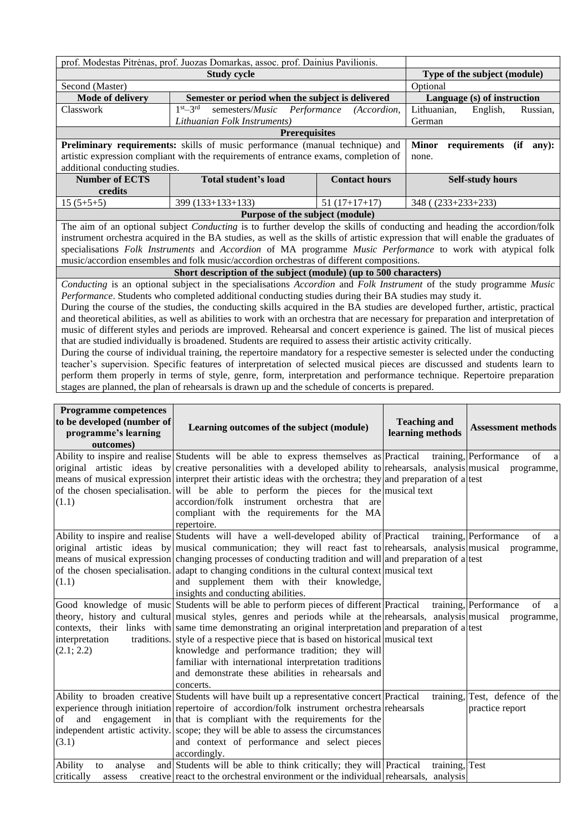| prof. Modestas Pitrėnas, prof. Juozas Domarkas, assoc. prof. Dainius Pavilionis. |                                                                                                                        |                      |                                                                                                                                    |  |  |  |  |  |
|----------------------------------------------------------------------------------|------------------------------------------------------------------------------------------------------------------------|----------------------|------------------------------------------------------------------------------------------------------------------------------------|--|--|--|--|--|
|                                                                                  | Type of the subject (module)                                                                                           |                      |                                                                                                                                    |  |  |  |  |  |
| Second (Master)                                                                  | Optional                                                                                                               |                      |                                                                                                                                    |  |  |  |  |  |
| Mode of delivery                                                                 | Semester or period when the subject is delivered                                                                       |                      | Language (s) of instruction                                                                                                        |  |  |  |  |  |
| Classwork                                                                        | $1st - 3rd$<br>semesters/ <i>Music</i><br>Performance                                                                  | (Accordion.          | Lithuanian,<br>English,<br>Russian,                                                                                                |  |  |  |  |  |
|                                                                                  | Lithuanian Folk Instruments)                                                                                           |                      | German                                                                                                                             |  |  |  |  |  |
|                                                                                  | <b>Prerequisites</b>                                                                                                   |                      |                                                                                                                                    |  |  |  |  |  |
|                                                                                  | Preliminary requirements: skills of music performance (manual technique) and                                           |                      | requirements<br><b>Minor</b><br>(ii)<br>any):                                                                                      |  |  |  |  |  |
|                                                                                  | artistic expression compliant with the requirements of entrance exams, completion of                                   |                      | none.                                                                                                                              |  |  |  |  |  |
| additional conducting studies.                                                   |                                                                                                                        |                      |                                                                                                                                    |  |  |  |  |  |
| <b>Number of ECTS</b>                                                            | Total student's load                                                                                                   | <b>Contact hours</b> | <b>Self-study hours</b>                                                                                                            |  |  |  |  |  |
| credits                                                                          |                                                                                                                        |                      |                                                                                                                                    |  |  |  |  |  |
| $15(5+5+5)$                                                                      | 399 (133+133+133)                                                                                                      | $51(17+17+17)$       | $348( (233+233+233)$                                                                                                               |  |  |  |  |  |
|                                                                                  | Purpose of the subject (module)                                                                                        |                      |                                                                                                                                    |  |  |  |  |  |
|                                                                                  |                                                                                                                        |                      | The aim of an optional subject <i>Conducting</i> is to further develop the skills of conducting and heading the accordion/folk     |  |  |  |  |  |
|                                                                                  |                                                                                                                        |                      | instrument orchestra acquired in the BA studies, as well as the skills of artistic expression that will enable the graduates of    |  |  |  |  |  |
|                                                                                  |                                                                                                                        |                      | specialisations Folk Instruments and Accordion of MA programme Music Performance to work with atypical folk                        |  |  |  |  |  |
|                                                                                  | music/accordion ensembles and folk music/accordion orchestras of different compositions.                               |                      |                                                                                                                                    |  |  |  |  |  |
|                                                                                  | Short description of the subject (module) (up to 500 characters)                                                       |                      |                                                                                                                                    |  |  |  |  |  |
|                                                                                  |                                                                                                                        |                      | Conducting is an optional subject in the specialisations Accordion and Folk Instrument of the study programme Music                |  |  |  |  |  |
|                                                                                  | Performance. Students who completed additional conducting studies during their BA studies may study it.                |                      |                                                                                                                                    |  |  |  |  |  |
|                                                                                  |                                                                                                                        |                      | During the course of the studies, the conducting skills acquired in the BA studies are developed further, artistic, practical      |  |  |  |  |  |
|                                                                                  |                                                                                                                        |                      | and theoretical abilities, as well as abilities to work with an orchestra that are necessary for preparation and interpretation of |  |  |  |  |  |
|                                                                                  |                                                                                                                        |                      | music of different styles and periods are improved. Rehearsal and concert experience is gained. The list of musical pieces         |  |  |  |  |  |
|                                                                                  | that are studied individually is broadened. Students are required to assess their artistic activity critically.        |                      |                                                                                                                                    |  |  |  |  |  |
|                                                                                  |                                                                                                                        |                      | During the course of individual training, the repertoire mandatory for a respective semester is selected under the conducting      |  |  |  |  |  |
|                                                                                  |                                                                                                                        |                      | teacher's supervision. Specific features of interpretation of selected musical pieces are discussed and students learn to          |  |  |  |  |  |
|                                                                                  | perform them properly in terms of style, genre, form, interpretation and performance technique. Repertoire preparation |                      |                                                                                                                                    |  |  |  |  |  |

stages are planned, the plan of rehearsals is drawn up and the schedule of concerts is prepared.

| <b>Programme competences</b><br>to be developed (number of<br>programme's learning<br>outcomes) | Learning outcomes of the subject (module)                                                                                                                                                                                                                                                                                                                                                                                                                                                                                                                                       | <b>Teaching and</b><br>learning methods | <b>Assessment methods</b>                              |
|-------------------------------------------------------------------------------------------------|---------------------------------------------------------------------------------------------------------------------------------------------------------------------------------------------------------------------------------------------------------------------------------------------------------------------------------------------------------------------------------------------------------------------------------------------------------------------------------------------------------------------------------------------------------------------------------|-----------------------------------------|--------------------------------------------------------|
| (1.1)                                                                                           | Ability to inspire and realise Students will be able to express themselves as Practical<br>original artistic ideas by creative personalities with a developed ability to rehearsals, analysis musical programme,<br>means of musical expression interpret their artistic ideas with the orchestra; they and preparation of a test<br>of the chosen specialisation. will be able to perform the pieces for the musical text<br>accordion/folk instrument orchestra that<br>are<br>compliant with the requirements for the MA<br>repertoire.                                      |                                         | training, Performance<br>of<br>a                       |
| (1.1)                                                                                           | Ability to inspire and realise Students will have a well-developed ability of Practical<br>original artistic ideas by musical communication; they will react fast to rehearsals, analysis musical programme,<br>means of musical expression changing processes of conducting tradition and will and preparation of a test<br>of the chosen specialisation. adapt to changing conditions in the cultural context musical text<br>and supplement them with their knowledge,<br>insights and conducting abilities.                                                                 |                                         | training, Performance<br>of<br>a                       |
| interpretation<br>(2.1; 2.2)                                                                    | Good knowledge of music Students will be able to perform pieces of different Practical<br>theory, history and cultural musical styles, genres and periods while at the rehearsals, analysis musical<br>contexts, their links with same time demonstrating an original interpretation and preparation of a test<br>traditions. style of a respective piece that is based on historical musical text<br>knowledge and performance tradition; they will<br>familiar with international interpretation traditions<br>and demonstrate these abilities in rehearsals and<br>concerts. |                                         | training, Performance<br>$\sigma$ f<br>a<br>programme, |
| engagement<br>and<br>of<br>(3.1)                                                                | Ability to broaden creative Students will have built up a representative concert Practical<br>experience through initiation repertoire of accordion/folk instrument orchestra rehearsals<br>in that is compliant with the requirements for the<br>independent artistic activity. scope; they will be able to assess the circumstances<br>and context of performance and select pieces<br>accordingly.                                                                                                                                                                           |                                         | training, Test, defence of the<br>practice report      |
| Ability<br>analyse<br>to<br>critically<br>assess                                                | and Students will be able to think critically; they will Practical<br>creative react to the orchestral environment or the individual rehearsals, analysis                                                                                                                                                                                                                                                                                                                                                                                                                       | training, Test                          |                                                        |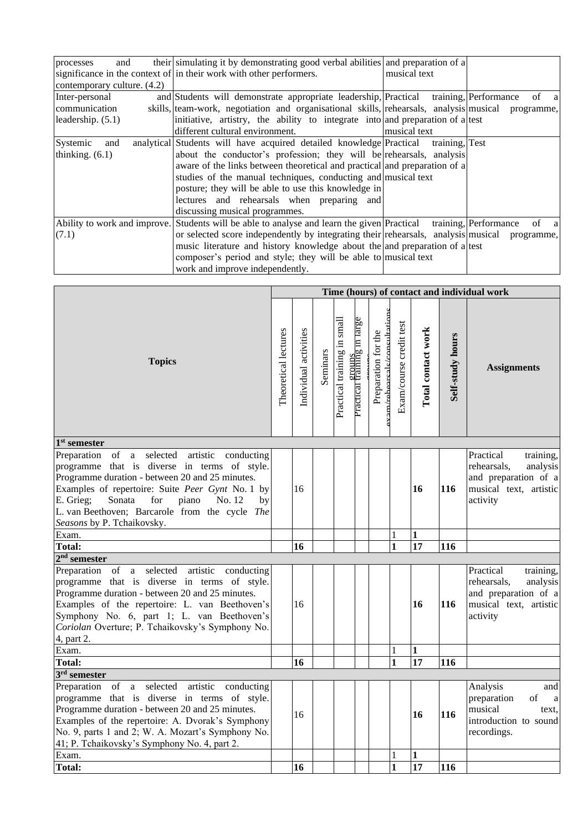| and<br>processes             | their simulating it by demonstrating good verbal abilities and preparation of a                   |                |                               |
|------------------------------|---------------------------------------------------------------------------------------------------|----------------|-------------------------------|
|                              | significance in the context of in their work with other performers.                               | musical text   |                               |
| contemporary culture. (4.2)  |                                                                                                   |                |                               |
| Inter-personal               | and Students will demonstrate appropriate leadership, Practical training, Performance             |                | of<br><sub>a</sub>            |
| communication                | skills, team-work, negotiation and organisational skills, rehearsals, analysis musical programme, |                |                               |
| leadership. (5.1)            | initiative, artistry, the ability to integrate into and preparation of a lest                     |                |                               |
|                              | different cultural environment.                                                                   | musical text   |                               |
| Systemic<br>and              | analytical Students will have acquired detailed knowledge Practical                               | training, Test |                               |
| thinking. $(6.1)$            | about the conductor's profession; they will be rehearsals, analysis                               |                |                               |
|                              | aware of the links between theoretical and practical and preparation of a                         |                |                               |
|                              | studies of the manual techniques, conducting and musical text                                     |                |                               |
|                              | posture; they will be able to use this knowledge in                                               |                |                               |
|                              | lectures and rehearsals when preparing and                                                        |                |                               |
|                              | discussing musical programmes.                                                                    |                |                               |
| Ability to work and improve. | Students will be able to analyse and learn the given Practical                                    |                | training, Performance<br>of a |
| (7.1)                        | or selected score independently by integrating their rehearsals, analysis musical programme,      |                |                               |
|                              | music literature and history knowledge about the and preparation of a ltest                       |                |                               |
|                              | composer's period and style; they will be able to musical text                                    |                |                               |
|                              | work and improve independently.                                                                   |                |                               |

|                                                                                                                                                                                                                                                                                                                                                                    | Time (hours) of contact and individual work |                       |          |                             |                             |                                                    |                         |                    |                  |                                                                                                                  |
|--------------------------------------------------------------------------------------------------------------------------------------------------------------------------------------------------------------------------------------------------------------------------------------------------------------------------------------------------------------------|---------------------------------------------|-----------------------|----------|-----------------------------|-----------------------------|----------------------------------------------------|-------------------------|--------------------|------------------|------------------------------------------------------------------------------------------------------------------|
| <b>Topics</b>                                                                                                                                                                                                                                                                                                                                                      | Theoretical lectures                        | Individual activities | Seminars | Practical training in small | rractical training in large | cam/rehearcalc/concultation<br>Preparation for the | Exam/course credit test | Total contact work | Self-study hours | <b>Assignments</b>                                                                                               |
| 1 <sup>st</sup> semester                                                                                                                                                                                                                                                                                                                                           |                                             |                       |          |                             |                             |                                                    |                         |                    |                  |                                                                                                                  |
| Preparation of<br>selected<br>artistic<br>conducting<br>$\mathbf{a}$<br>programme that is diverse in terms of style.<br>Programme duration - between 20 and 25 minutes.<br>Examples of repertoire: Suite Peer Gynt No. 1 by<br>E. Grieg;<br>Sonata<br>for<br>No. 12<br>piano<br>by<br>L. van Beethoven; Barcarole from the cycle The<br>Seasons by P. Tchaikovsky. |                                             | 16                    |          |                             |                             |                                                    |                         | 16                 | 116              | Practical<br>training,<br>rehearsals,<br>analysis<br>and preparation of a<br>musical text, artistic<br>activity  |
| Exam.                                                                                                                                                                                                                                                                                                                                                              |                                             |                       |          |                             |                             |                                                    | 1                       | $\mathbf{1}$       |                  |                                                                                                                  |
| <b>Total:</b>                                                                                                                                                                                                                                                                                                                                                      |                                             | 16                    |          |                             |                             |                                                    | $\mathbf{1}$            | $\overline{17}$    | 116              |                                                                                                                  |
| $2nd$ semester                                                                                                                                                                                                                                                                                                                                                     |                                             |                       |          |                             |                             |                                                    |                         |                    |                  |                                                                                                                  |
| Preparation of<br>selected<br>artistic<br>a<br>conducting<br>programme that is diverse in terms of style.<br>Programme duration - between 20 and 25 minutes.<br>Examples of the repertoire: L. van Beethoven's<br>Symphony No. 6, part 1; L. van Beethoven's<br>Coriolan Overture; P. Tchaikovsky's Symphony No.<br>4, part 2.                                     |                                             | 16                    |          |                             |                             |                                                    |                         | 16                 | 116              | Practical<br>training,<br>rehearsals,<br>analysis<br>and preparation of a<br>musical text, artistic<br>activity  |
| Exam.                                                                                                                                                                                                                                                                                                                                                              |                                             |                       |          |                             |                             |                                                    | $\mathbf{1}$            | $\mathbf{1}$       |                  |                                                                                                                  |
| <b>Total:</b>                                                                                                                                                                                                                                                                                                                                                      |                                             | 16                    |          |                             |                             |                                                    | $\mathbf{1}$            | $\overline{17}$    | 116              |                                                                                                                  |
| 3 <sup>rd</sup> semester                                                                                                                                                                                                                                                                                                                                           |                                             |                       |          |                             |                             |                                                    |                         |                    |                  |                                                                                                                  |
| Preparation of<br>selected<br>artistic<br>$\mathbf{a}$<br>conducting<br>programme that is diverse in terms of style.<br>Programme duration - between 20 and 25 minutes.<br>Examples of the repertoire: A. Dvorak's Symphony<br>No. 9, parts 1 and 2; W. A. Mozart's Symphony No.<br>41; P. Tchaikovsky's Symphony No. 4, part 2.                                   |                                             | 16                    |          |                             |                             |                                                    |                         | 16                 | 116              | Analysis<br>and<br>preparation<br>of<br>$\mathbf{a}$<br>musical<br>text.<br>introduction to sound<br>recordings. |
| Exam.                                                                                                                                                                                                                                                                                                                                                              |                                             |                       |          |                             |                             |                                                    | 1                       | $\bf{1}$           |                  |                                                                                                                  |
| <b>Total:</b>                                                                                                                                                                                                                                                                                                                                                      |                                             | 16                    |          |                             |                             |                                                    | $\mathbf{1}$            | $\overline{17}$    | 116              |                                                                                                                  |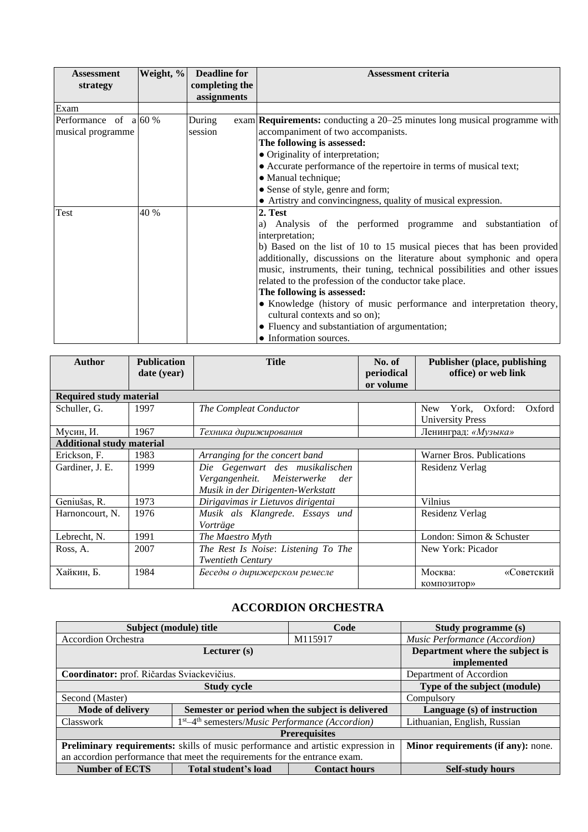| <b>Assessment</b>       | Weight, % | <b>Deadline for</b> | <b>Assessment criteria</b>                                                         |
|-------------------------|-----------|---------------------|------------------------------------------------------------------------------------|
| strategy                |           | completing the      |                                                                                    |
|                         |           | assignments         |                                                                                    |
| Exam                    |           |                     |                                                                                    |
| Performance of $a 60\%$ |           | During              | exam <b>Requirements:</b> conducting a $20-25$ minutes long musical programme with |
| musical programme       |           | session             | accompaniment of two accompanists.                                                 |
|                         |           |                     | The following is assessed:                                                         |
|                         |           |                     | • Originality of interpretation;                                                   |
|                         |           |                     | • Accurate performance of the repertoire in terms of musical text;                 |
|                         |           |                     | • Manual technique;                                                                |
|                         |           |                     | • Sense of style, genre and form;                                                  |
|                         |           |                     | • Artistry and convincingness, quality of musical expression.                      |
| Test                    | 40 %      |                     | 2. Test                                                                            |
|                         |           |                     | Analysis of the performed programme and substantiation of<br>a)                    |
|                         |           |                     | interpretation;                                                                    |
|                         |           |                     | b) Based on the list of 10 to 15 musical pieces that has been provided             |
|                         |           |                     | additionally, discussions on the literature about symphonic and opera              |
|                         |           |                     | music, instruments, their tuning, technical possibilities and other issues         |
|                         |           |                     | related to the profession of the conductor take place.                             |
|                         |           |                     | The following is assessed:                                                         |
|                         |           |                     | • Knowledge (history of music performance and interpretation theory,               |
|                         |           |                     | cultural contexts and so on);                                                      |
|                         |           |                     | • Fluency and substantiation of argumentation;                                     |
|                         |           |                     | • Information sources.                                                             |

| <b>Author</b>                    | <b>Publication</b><br>date (year) | <b>Title</b>                                                                                               | No. of<br>periodical<br>or volume | <b>Publisher (place, publishing)</b><br>office) or web link  |  |  |
|----------------------------------|-----------------------------------|------------------------------------------------------------------------------------------------------------|-----------------------------------|--------------------------------------------------------------|--|--|
| <b>Required study material</b>   |                                   |                                                                                                            |                                   |                                                              |  |  |
| Schuller, G.                     | 1997                              | The Compleat Conductor                                                                                     |                                   | Oxford:<br>York,<br>Oxford<br>New<br><b>University Press</b> |  |  |
| Мусин, И.                        | 1967                              | Техника дирижирования                                                                                      |                                   | Ленинград: «Музыка»                                          |  |  |
| <b>Additional study material</b> |                                   |                                                                                                            |                                   |                                                              |  |  |
| Erickson, F.                     | 1983                              | Arranging for the concert band                                                                             |                                   | Warner Bros. Publications                                    |  |  |
| Gardiner, J. E.                  | 1999                              | Die Gegenwart des musikalischen<br>Vergangenheit. Meisterwerke<br>der<br>Musik in der Dirigenten-Werkstatt |                                   |                                                              |  |  |
| Geniušas, R.                     | 1973                              | Dirigavimas ir Lietuvos dirigentai                                                                         |                                   | Vilnius                                                      |  |  |
| Harnoncourt, N.                  | 1976                              | Musik als Klangrede. Essays und<br>Vorträge                                                                |                                   | Residenz Verlag                                              |  |  |
| Lebrecht, N.                     | 1991                              | The Maestro Myth                                                                                           |                                   | London: Simon & Schuster                                     |  |  |
| Ross, A.                         | 2007                              | The Rest Is Noise: Listening To The<br><b>Twentieth Century</b>                                            |                                   | New York: Picador                                            |  |  |
| Хайкин, Б.                       | 1984                              | Беседы о дирижерском ремесле                                                                               |                                   | Москва:<br>«Советский<br>композитор»                         |  |  |

# **ACCORDION ORCHESTRA**

<span id="page-10-0"></span>

|                                                                                  | Subject (module) title                                               | Code                 | Study programme (s)           |  |  |  |  |
|----------------------------------------------------------------------------------|----------------------------------------------------------------------|----------------------|-------------------------------|--|--|--|--|
| <b>Accordion Orchestra</b>                                                       |                                                                      | M115917              | Music Performance (Accordion) |  |  |  |  |
|                                                                                  | Department where the subject is<br>implemented                       |                      |                               |  |  |  |  |
| Coordinator: prof. Ričardas Sviackevičius.                                       |                                                                      |                      | Department of Accordion       |  |  |  |  |
|                                                                                  | Type of the subject (module)                                         |                      |                               |  |  |  |  |
| Second (Master)                                                                  |                                                                      |                      | Compulsory                    |  |  |  |  |
| <b>Mode of delivery</b>                                                          | Semester or period when the subject is delivered                     |                      | Language (s) of instruction   |  |  |  |  |
| <b>Classwork</b>                                                                 | $1st - 4th$ semesters/ <i>Music Performance</i> ( <i>Accordion</i> ) |                      | Lithuanian, English, Russian  |  |  |  |  |
| <b>Prerequisites</b>                                                             |                                                                      |                      |                               |  |  |  |  |
| Preliminary requirements: skills of music performance and artistic expression in | Minor requirements (if any): none.                                   |                      |                               |  |  |  |  |
| an accordion performance that meet the requirements for the entrance exam.       |                                                                      |                      |                               |  |  |  |  |
| <b>Number of ECTS</b>                                                            | Total student's load                                                 | <b>Contact hours</b> | <b>Self-study hours</b>       |  |  |  |  |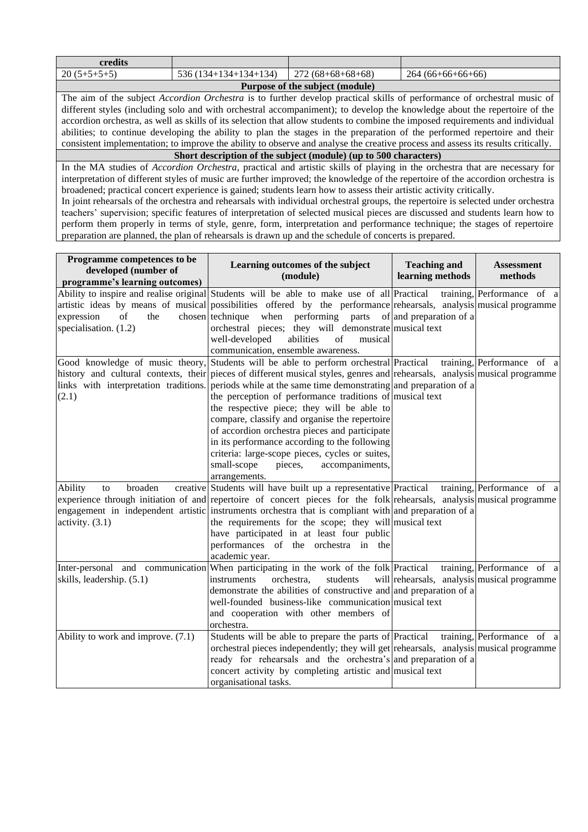| credits                                                                                                                        |                                                                                                                           |                                 |                                                                                                                                   |  |  |  |  |  |  |
|--------------------------------------------------------------------------------------------------------------------------------|---------------------------------------------------------------------------------------------------------------------------|---------------------------------|-----------------------------------------------------------------------------------------------------------------------------------|--|--|--|--|--|--|
|                                                                                                                                |                                                                                                                           |                                 |                                                                                                                                   |  |  |  |  |  |  |
| $20(5+5+5+5)$                                                                                                                  | $536(134+134+134+134)$                                                                                                    | $272(68+68+68+68)$              | $264(66+66+66+66)$                                                                                                                |  |  |  |  |  |  |
|                                                                                                                                |                                                                                                                           | Purpose of the subject (module) |                                                                                                                                   |  |  |  |  |  |  |
| The aim of the subject <i>Accordion Orchestra</i> is to further develop practical skills of performance of orchestral music of |                                                                                                                           |                                 |                                                                                                                                   |  |  |  |  |  |  |
|                                                                                                                                |                                                                                                                           |                                 | different styles (including solo and with orchestral accompaniment); to develop the knowledge about the repertoire of the         |  |  |  |  |  |  |
|                                                                                                                                |                                                                                                                           |                                 | accordion orchestra, as well as skills of its selection that allow students to combine the imposed requirements and individual    |  |  |  |  |  |  |
|                                                                                                                                | abilities; to continue developing the ability to plan the stages in the preparation of the performed repertoire and their |                                 |                                                                                                                                   |  |  |  |  |  |  |
|                                                                                                                                |                                                                                                                           |                                 | consistent implementation; to improve the ability to observe and analyse the creative process and assess its results critically.  |  |  |  |  |  |  |
|                                                                                                                                | Short description of the subject (module) (up to 500 characters)                                                          |                                 |                                                                                                                                   |  |  |  |  |  |  |
|                                                                                                                                |                                                                                                                           |                                 | In the MA studies of <i>Assorbion Orghaetra</i> , prestiged and extigie skills of playing in the exphesive that are necessary for |  |  |  |  |  |  |

In the MA studies of *Accordion Orchestra*, practical and artistic skills of playing in the orchestra that are necessary for interpretation of different styles of music are further improved; the knowledge of the repertoire of the accordion orchestra is broadened; practical concert experience is gained; students learn how to assess their artistic activity critically. In joint rehearsals of the orchestra and rehearsals with individual orchestral groups, the repertoire is selected under orchestra teachers' supervision; specific features of interpretation of selected musical pieces are discussed and students learn how to perform them properly in terms of style, genre, form, interpretation and performance technique; the stages of repertoire

preparation are planned, the plan of rehearsals is drawn up and the schedule of concerts is prepared.

| Programme competences to be<br>developed (number of<br>programme's learning outcomes) | Learning outcomes of the subject<br>(module)                                                                                                                                                                                                                                                                                                                                                                                                                                                                                                                                                                                                                           | <b>Teaching and</b><br>learning methods     | <b>Assessment</b><br>methods            |
|---------------------------------------------------------------------------------------|------------------------------------------------------------------------------------------------------------------------------------------------------------------------------------------------------------------------------------------------------------------------------------------------------------------------------------------------------------------------------------------------------------------------------------------------------------------------------------------------------------------------------------------------------------------------------------------------------------------------------------------------------------------------|---------------------------------------------|-----------------------------------------|
| expression<br>of<br>the<br>specialisation. (1.2)                                      | Ability to inspire and realise original Students will be able to make use of all Practical<br>artistic ideas by means of musical possibilities offered by the performance rehearsals, analysis musical programme<br>chosen technique<br>when performing parts of and preparation of a<br>orchestral pieces; they will demonstrate musical text<br>well-developed<br>abilities<br>of<br>musical<br>communication, ensemble awareness.                                                                                                                                                                                                                                   |                                             | training, Performance of a              |
| links with interpretation traditions.<br>(2.1)                                        | Good knowledge of music theory, Students will be able to perform orchestral Practical<br>history and cultural contexts, their pieces of different musical styles, genres and rehearsals, analysis musical programme<br>periods while at the same time demonstrating and preparation of a<br>the perception of performance traditions of musical text<br>the respective piece; they will be able to<br>compare, classify and organise the repertoire<br>of accordion orchestra pieces and participate<br>in its performance according to the following<br>criteria: large-scope pieces, cycles or suites,<br>small-scope<br>pieces,<br>accompaniments,<br>arrangements. |                                             | training, Performance of a              |
| broaden<br>Ability<br>to<br>activity. $(3.1)$                                         | creative Students will have built up a representative Practical training, Performance of a<br>experience through initiation of and repertoire of concert pieces for the folk rehearsals, analysis musical programme<br>engagement in independent artistic instruments orchestra that is compliant with and preparation of a<br>the requirements for the scope; they will musical text<br>have participated in at least four public<br>performances of the orchestra in the<br>academic year.                                                                                                                                                                           |                                             |                                         |
| skills, leadership. (5.1)                                                             | Inter-personal and communication When participating in the work of the folk Practical<br>orchestra,<br>students<br>instruments<br>demonstrate the abilities of constructive and and preparation of a<br>well-founded business-like communication musical text<br>and cooperation with other members of<br>orchestra.                                                                                                                                                                                                                                                                                                                                                   | will rehearsals, analysis musical programme | training, Performance of $\overline{a}$ |
| Ability to work and improve. (7.1)                                                    | Students will be able to prepare the parts of Practical training, Performance of a<br>orchestral pieces independently; they will get rehearsals, analysis musical programme<br>ready for rehearsals and the orchestra's and preparation of a<br>concert activity by completing artistic and musical text<br>organisational tasks.                                                                                                                                                                                                                                                                                                                                      |                                             |                                         |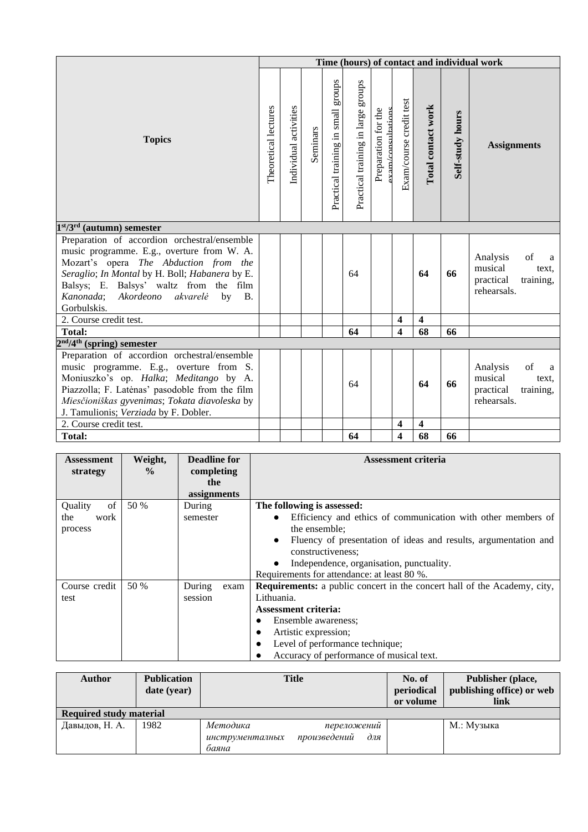|                                                                                                                                                                                                                                                                                                      |                      |                       |          |                                    |                                       |                                          |                         |                         |                  | Time (hours) of contact and individual work                                      |
|------------------------------------------------------------------------------------------------------------------------------------------------------------------------------------------------------------------------------------------------------------------------------------------------------|----------------------|-----------------------|----------|------------------------------------|---------------------------------------|------------------------------------------|-------------------------|-------------------------|------------------|----------------------------------------------------------------------------------|
| <b>Topics</b>                                                                                                                                                                                                                                                                                        | Theoretical lectures | Individual activities | Seminars | Practical training in small groups | sdnora<br>Practical training in large | Preparation for the<br>vam/consultations | Exam/course credit test | Total contact work      | Self-study hours | <b>Assignments</b>                                                               |
| $1st/3rd$ (autumn) semester                                                                                                                                                                                                                                                                          |                      |                       |          |                                    |                                       |                                          |                         |                         |                  |                                                                                  |
| Preparation of accordion orchestral/ensemble<br>music programme. E.g., overture from W. A.<br>Mozart's opera The Abduction from the<br>Seraglio; In Montal by H. Boll; Habanera by E.<br>Balsys; E. Balsys' waltz from the film<br>Kanonada; Akordeono<br>akvarelė<br>by<br><b>B.</b><br>Gorbulskis. |                      |                       |          |                                    | 64                                    |                                          |                         | 64                      | 66               | Analysis<br>of<br>a<br>musical<br>text,<br>practical<br>training,<br>rehearsals. |
| 2. Course credit test.                                                                                                                                                                                                                                                                               |                      |                       |          |                                    |                                       |                                          | 4                       | $\overline{\mathbf{4}}$ |                  |                                                                                  |
| Total:                                                                                                                                                                                                                                                                                               |                      |                       |          |                                    | 64                                    |                                          | $\overline{\mathbf{4}}$ | 68                      | 66               |                                                                                  |
| $2nd/4th$ (spring) semester                                                                                                                                                                                                                                                                          |                      |                       |          |                                    |                                       |                                          |                         |                         |                  |                                                                                  |
| Preparation of accordion orchestral/ensemble<br>music programme. E.g., overture from S.<br>Moniuszko's op. Halka; Meditango by A.<br>Piazzolla; F. Latėnas' pasodoble from the film<br>Miesčioniškas gyvenimas; Tokata diavoleska by<br>J. Tamulionis; Verziada by F. Dobler.                        |                      |                       |          |                                    | 64                                    |                                          |                         | 64                      | 66               | Analysis<br>of<br>a<br>musical<br>text.<br>practical<br>training,<br>rehearsals. |
| 2. Course credit test.                                                                                                                                                                                                                                                                               |                      |                       |          |                                    |                                       |                                          | 4                       | $\overline{\mathbf{4}}$ |                  |                                                                                  |
| <b>Total:</b>                                                                                                                                                                                                                                                                                        |                      |                       |          |                                    | 64                                    |                                          | 4                       | 68                      | 66               |                                                                                  |

| <b>Assessment</b> | Weight,       | <b>Deadline for</b> | <b>Assessment criteria</b>                                                      |
|-------------------|---------------|---------------------|---------------------------------------------------------------------------------|
| strategy          | $\frac{0}{0}$ | completing          |                                                                                 |
|                   |               | the                 |                                                                                 |
|                   |               | assignments         |                                                                                 |
| of<br>Quality     | 50 %          | During              | The following is assessed:                                                      |
| work<br>the       |               | semester            | Efficiency and ethics of communication with other members of                    |
| process           |               |                     | the ensemble:                                                                   |
|                   |               |                     | Fluency of presentation of ideas and results, argumentation and                 |
|                   |               |                     | constructiveness;                                                               |
|                   |               |                     | Independence, organisation, punctuality.                                        |
|                   |               |                     | Requirements for attendance: at least 80 %.                                     |
| Course credit     | 50 %          | During<br>exam      | <b>Requirements:</b> a public concert in the concert hall of the Academy, city, |
| test              |               | session             | Lithuania.                                                                      |
|                   |               |                     | <b>Assessment criteria:</b>                                                     |
|                   |               |                     | Ensemble awareness;<br>$\bullet$                                                |
|                   |               |                     | Artistic expression;                                                            |
|                   |               |                     | Level of performance technique;<br>$\bullet$                                    |
|                   |               |                     | Accuracy of performance of musical text.                                        |

| <b>Author</b>                  | <b>Publication</b><br>date (year) | <b>Title</b>                                                               | No. of<br>periodical<br>or volume | Publisher (place,<br>publishing office) or web<br>link |
|--------------------------------|-----------------------------------|----------------------------------------------------------------------------|-----------------------------------|--------------------------------------------------------|
| <b>Required study material</b> |                                   |                                                                            |                                   |                                                        |
| Давыдов, Н. А.                 | 1982                              | Методика<br>переложений<br>произведений<br>для<br>инструменталных<br>баяна |                                   | М.: Музыка                                             |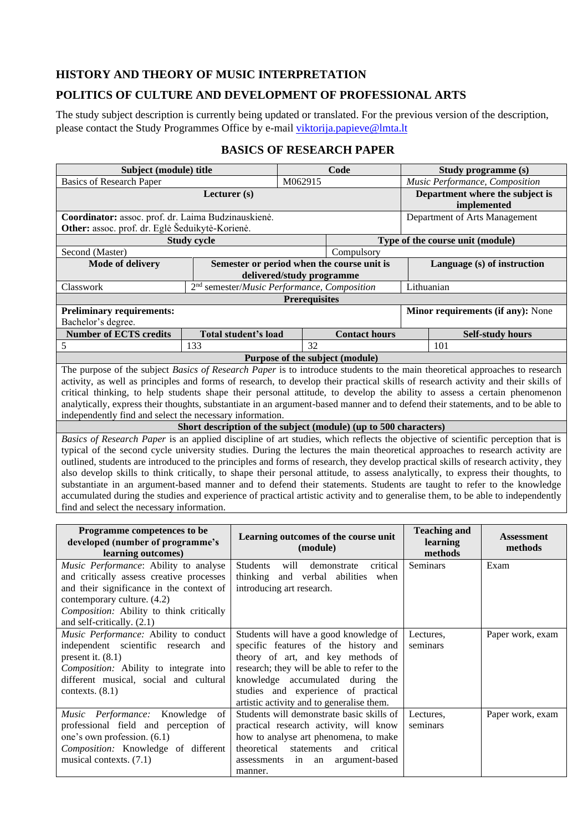## <span id="page-13-0"></span>**HISTORY AND THEORY OF MUSIC INTERPRETATION**

### <span id="page-13-1"></span>**POLITICS OF CULTURE AND DEVELOPMENT OF PROFESSIONAL ARTS**

The study subject description is currently being updated or translated. For the previous version of the description, please contact the Study Programmes Office by e-mail [viktorija.papieve@lmta.lt](mailto:viktorija.papieve@lmta.lt)

|  |  | <b>BASICS OF RESEARCH PAPER</b> |  |
|--|--|---------------------------------|--|
|--|--|---------------------------------|--|

<span id="page-13-2"></span>**Subject (module) title Code Study programme (s)**

| <b>Basics of Research Paper</b><br>M062915                                                                                                                                                                                                                                                                                                                                                                                                                                                                                          |                                                                                                                                                                                                                                                                                                                                                                                                                                                                                                                                                                                                                                                                                                                                                                                                                                                        |                                                         |                      |                  |                                                                                                                                                                   | Music Performance, Composition |                                                |  |                                   |  |
|-------------------------------------------------------------------------------------------------------------------------------------------------------------------------------------------------------------------------------------------------------------------------------------------------------------------------------------------------------------------------------------------------------------------------------------------------------------------------------------------------------------------------------------|--------------------------------------------------------------------------------------------------------------------------------------------------------------------------------------------------------------------------------------------------------------------------------------------------------------------------------------------------------------------------------------------------------------------------------------------------------------------------------------------------------------------------------------------------------------------------------------------------------------------------------------------------------------------------------------------------------------------------------------------------------------------------------------------------------------------------------------------------------|---------------------------------------------------------|----------------------|------------------|-------------------------------------------------------------------------------------------------------------------------------------------------------------------|--------------------------------|------------------------------------------------|--|-----------------------------------|--|
|                                                                                                                                                                                                                                                                                                                                                                                                                                                                                                                                     | Lecturer (s)                                                                                                                                                                                                                                                                                                                                                                                                                                                                                                                                                                                                                                                                                                                                                                                                                                           |                                                         |                      |                  |                                                                                                                                                                   |                                | Department where the subject is<br>implemented |  |                                   |  |
| Coordinator: assoc. prof. dr. Laima Budzinauskienė.<br>Other: assoc. prof. dr. Eglė Šeduikytė-Korienė.                                                                                                                                                                                                                                                                                                                                                                                                                              |                                                                                                                                                                                                                                                                                                                                                                                                                                                                                                                                                                                                                                                                                                                                                                                                                                                        | Department of Arts Management                           |                      |                  |                                                                                                                                                                   |                                |                                                |  |                                   |  |
| <b>Study cycle</b>                                                                                                                                                                                                                                                                                                                                                                                                                                                                                                                  |                                                                                                                                                                                                                                                                                                                                                                                                                                                                                                                                                                                                                                                                                                                                                                                                                                                        |                                                         |                      |                  |                                                                                                                                                                   |                                |                                                |  | Type of the course unit (module)  |  |
| Second (Master)                                                                                                                                                                                                                                                                                                                                                                                                                                                                                                                     |                                                                                                                                                                                                                                                                                                                                                                                                                                                                                                                                                                                                                                                                                                                                                                                                                                                        |                                                         |                      |                  | Compulsory                                                                                                                                                        |                                |                                                |  |                                   |  |
| Mode of delivery                                                                                                                                                                                                                                                                                                                                                                                                                                                                                                                    |                                                                                                                                                                                                                                                                                                                                                                                                                                                                                                                                                                                                                                                                                                                                                                                                                                                        | delivered/study programme                               |                      |                  | Semester or period when the course unit is                                                                                                                        |                                | Language (s) of instruction                    |  |                                   |  |
| Classwork                                                                                                                                                                                                                                                                                                                                                                                                                                                                                                                           |                                                                                                                                                                                                                                                                                                                                                                                                                                                                                                                                                                                                                                                                                                                                                                                                                                                        | 2 <sup>nd</sup> semester/Music Performance, Composition |                      |                  |                                                                                                                                                                   |                                | Lithuanian                                     |  |                                   |  |
|                                                                                                                                                                                                                                                                                                                                                                                                                                                                                                                                     |                                                                                                                                                                                                                                                                                                                                                                                                                                                                                                                                                                                                                                                                                                                                                                                                                                                        |                                                         | <b>Prerequisites</b> |                  |                                                                                                                                                                   |                                |                                                |  |                                   |  |
| <b>Preliminary requirements:</b><br>Bachelor's degree.                                                                                                                                                                                                                                                                                                                                                                                                                                                                              |                                                                                                                                                                                                                                                                                                                                                                                                                                                                                                                                                                                                                                                                                                                                                                                                                                                        |                                                         |                      |                  |                                                                                                                                                                   |                                |                                                |  | Minor requirements (if any): None |  |
| <b>Number of ECTS credits</b>                                                                                                                                                                                                                                                                                                                                                                                                                                                                                                       |                                                                                                                                                                                                                                                                                                                                                                                                                                                                                                                                                                                                                                                                                                                                                                                                                                                        | Total student's load                                    |                      |                  | <b>Contact hours</b>                                                                                                                                              |                                |                                                |  | <b>Self-study hours</b>           |  |
| 5                                                                                                                                                                                                                                                                                                                                                                                                                                                                                                                                   | 133                                                                                                                                                                                                                                                                                                                                                                                                                                                                                                                                                                                                                                                                                                                                                                                                                                                    |                                                         |                      | 32               |                                                                                                                                                                   |                                | 101                                            |  |                                   |  |
| The purpose of the subject <i>Basics of Research Paper</i> is to introduce students to the main theoretical approaches to research                                                                                                                                                                                                                                                                                                                                                                                                  |                                                                                                                                                                                                                                                                                                                                                                                                                                                                                                                                                                                                                                                                                                                                                                                                                                                        |                                                         |                      |                  | Purpose of the subject (module)                                                                                                                                   |                                |                                                |  |                                   |  |
| activity, as well as principles and forms of research, to develop their practical skills of research activity and their skills of<br>critical thinking, to help students shape their personal attitude, to develop the ability to assess a certain phenomenon<br>analytically, express their thoughts, substantiate in an argument-based manner and to defend their statements, and to be able to<br>independently find and select the necessary information.                                                                       |                                                                                                                                                                                                                                                                                                                                                                                                                                                                                                                                                                                                                                                                                                                                                                                                                                                        |                                                         |                      |                  |                                                                                                                                                                   |                                |                                                |  |                                   |  |
|                                                                                                                                                                                                                                                                                                                                                                                                                                                                                                                                     |                                                                                                                                                                                                                                                                                                                                                                                                                                                                                                                                                                                                                                                                                                                                                                                                                                                        |                                                         |                      |                  | Short description of the subject (module) (up to 500 characters)                                                                                                  |                                |                                                |  |                                   |  |
|                                                                                                                                                                                                                                                                                                                                                                                                                                                                                                                                     | Basics of Research Paper is an applied discipline of art studies, which reflects the objective of scientific perception that is<br>typical of the second cycle university studies. During the lectures the main theoretical approaches to research activity are<br>outlined, students are introduced to the principles and forms of research, they develop practical skills of research activity, they<br>also develop skills to think critically, to shape their personal attitude, to assess analytically, to express their thoughts, to<br>substantiate in an argument-based manner and to defend their statements. Students are taught to refer to the knowledge<br>accumulated during the studies and experience of practical artistic activity and to generalise them, to be able to independently<br>find and select the necessary information. |                                                         |                      |                  |                                                                                                                                                                   |                                |                                                |  |                                   |  |
| Programme competences to be<br>developed (number of programme's<br>learning outcomes)                                                                                                                                                                                                                                                                                                                                                                                                                                               |                                                                                                                                                                                                                                                                                                                                                                                                                                                                                                                                                                                                                                                                                                                                                                                                                                                        |                                                         |                      | (module)         | Learning outcomes of the course unit                                                                                                                              |                                | <b>Teaching and</b><br>learning<br>methods     |  | <b>Assessment</b><br>methods      |  |
| Music Performance: Ability to analyse<br>and critically assess creative processes<br>and their significance in the context of<br>contemporary culture. (4.2)<br>Composition: Ability to think critically<br>and self-critically. (2.1)                                                                                                                                                                                                                                                                                              |                                                                                                                                                                                                                                                                                                                                                                                                                                                                                                                                                                                                                                                                                                                                                                                                                                                        | Students<br>thinking<br>introducing art research.       | will                 |                  | critical<br>demonstrate<br>and verbal abilities when                                                                                                              |                                | Seminars                                       |  | Exam                              |  |
| Music Performance: Ability to conduct<br>Students will have a good knowledge of<br>Lectures,<br>independent scientific research and<br>specific features of the history and<br>seminars<br>present it. $(8.1)$<br>theory of art, and key methods of<br>research; they will be able to refer to the<br>Composition: Ability to integrate into<br>different musical, social and cultural<br>knowledge accumulated during the<br>contexts. $(8.1)$<br>studies and experience of practical<br>artistic activity and to generalise them. |                                                                                                                                                                                                                                                                                                                                                                                                                                                                                                                                                                                                                                                                                                                                                                                                                                                        |                                                         |                      |                  |                                                                                                                                                                   |                                | Paper work, exam                               |  |                                   |  |
| Music Performance:<br>Knowledge<br>professional field and perception of<br>one's own profession. (6.1)<br>Composition: Knowledge of different<br>musical contexts. (7.1)                                                                                                                                                                                                                                                                                                                                                            | of                                                                                                                                                                                                                                                                                                                                                                                                                                                                                                                                                                                                                                                                                                                                                                                                                                                     | theoretical<br>assessments<br>manner.                   | in                   | statements<br>an | Students will demonstrate basic skills of<br>practical research activity, will know<br>how to analyse art phenomena, to make<br>and<br>critical<br>argument-based |                                | Lectures,<br>seminars                          |  | Paper work, exam                  |  |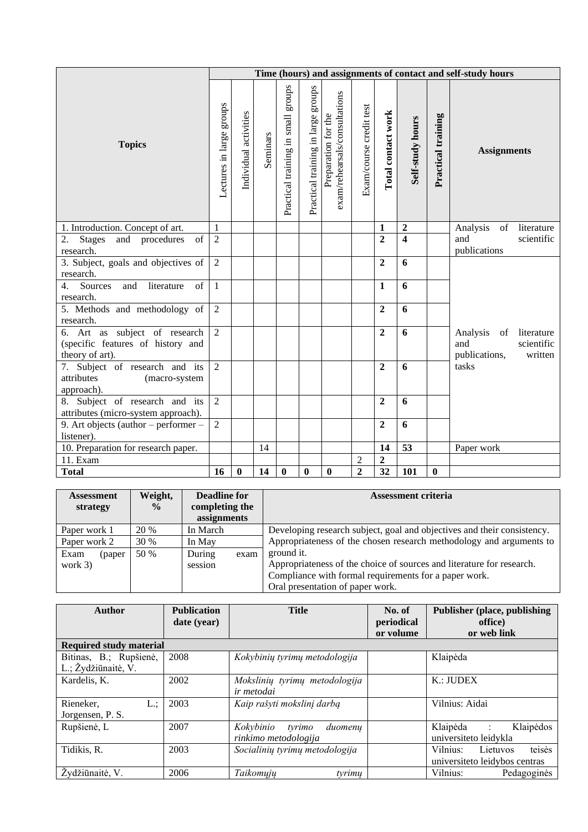|                                                                                       |                          |                       |          |                                    |                                    |                                                      |                         |                    |                  |                    | Time (hours) and assignments of contact and self-study hours                                                                 |
|---------------------------------------------------------------------------------------|--------------------------|-----------------------|----------|------------------------------------|------------------------------------|------------------------------------------------------|-------------------------|--------------------|------------------|--------------------|------------------------------------------------------------------------------------------------------------------------------|
| <b>Topics</b>                                                                         | Lectures in large groups | Individual activities | Seminars | Practical training in small groups | Practical training in large groups | exam/rehearsals/consultations<br>Preparation for the | Exam/course credit test | Total contact work | Self-study hours | Practical training | <b>Assignments</b>                                                                                                           |
| 1. Introduction. Concept of art.                                                      | $\mathbf{1}$             |                       |          |                                    |                                    |                                                      |                         | $\mathbf{1}$       | $\boldsymbol{2}$ |                    | $% \left( \left( \mathcal{A},\mathcal{A}\right) \right) =\left( \mathcal{A},\mathcal{A}\right)$ of<br>Analysis<br>literature |
| of<br>2.<br><b>Stages</b><br>and procedures<br>research.                              | $\overline{2}$           |                       |          |                                    |                                    |                                                      |                         | $\overline{2}$     | $\overline{4}$   |                    | scientific<br>and<br>publications                                                                                            |
| 3. Subject, goals and objectives of<br>research.                                      | $\overline{2}$           |                       |          |                                    |                                    |                                                      |                         | $\overline{2}$     | 6                |                    |                                                                                                                              |
| Sources<br>and<br>literature<br>$\overline{4}$ .<br>$\alpha$ f                        | $\mathbf{1}$             |                       |          |                                    |                                    |                                                      |                         | $\mathbf{1}$       | 6                |                    |                                                                                                                              |
| research.<br>5. Methods and methodology of<br>research.                               | $\overline{2}$           |                       |          |                                    |                                    |                                                      |                         | $\overline{2}$     | 6                |                    |                                                                                                                              |
| 6. Art as subject of research<br>(specific features of history and<br>theory of art). | $\overline{2}$           |                       |          |                                    |                                    |                                                      |                         | $\overline{2}$     | 6                |                    | Analysis<br>of<br>literature<br>scientific<br>and<br>publications,<br>written                                                |
| 7. Subject of research and its<br>attributes<br>(macro-system<br>approach).           | $\overline{2}$           |                       |          |                                    |                                    |                                                      |                         | $\overline{2}$     | 6                |                    | tasks                                                                                                                        |
| 8. Subject of research and its<br>attributes (micro-system approach).                 | $\overline{2}$           |                       |          |                                    |                                    |                                                      |                         | $\overline{2}$     | 6                |                    |                                                                                                                              |
| 9. Art objects (author – performer –<br>listener).                                    | $\overline{2}$           |                       |          |                                    |                                    |                                                      |                         | $\overline{2}$     | 6                |                    |                                                                                                                              |
| 10. Preparation for research paper.                                                   |                          |                       | 14       |                                    |                                    |                                                      |                         | 14                 | 53               |                    | Paper work                                                                                                                   |
| 11. Exam                                                                              |                          |                       |          |                                    |                                    |                                                      | $\overline{2}$          | $\overline{2}$     |                  |                    |                                                                                                                              |
| <b>Total</b>                                                                          | 16                       | $\bf{0}$              | 14       | $\boldsymbol{0}$                   | $\boldsymbol{0}$                   | $\boldsymbol{0}$                                     | $\overline{2}$          | $\overline{32}$    | 101              | $\boldsymbol{0}$   |                                                                                                                              |

| <b>Assessment</b><br>strategy | Weight,<br>$\frac{0}{0}$ | <b>Deadline for</b><br>completing the<br>assignments |      | <b>Assessment criteria</b>                                              |
|-------------------------------|--------------------------|------------------------------------------------------|------|-------------------------------------------------------------------------|
| Paper work 1                  | 20 %                     | In March                                             |      | Developing research subject, goal and objectives and their consistency. |
| Paper work 2                  | 30 %                     | In May                                               |      | Appropriateness of the chosen research methodology and arguments to     |
| Exam<br>(paper                | 50 %                     | During                                               | exam | ground it.                                                              |
| work $3)$                     |                          | session                                              |      | Appropriateness of the choice of sources and literature for research.   |
|                               |                          |                                                      |      | Compliance with formal requirements for a paper work.                   |
|                               |                          |                                                      |      | Oral presentation of paper work.                                        |

| Author                         | <b>Publication</b><br>date (year) | <b>Title</b>                   | No. of<br>periodical<br>or volume | <b>Publisher (place, publishing)</b><br>office)<br>or web link |
|--------------------------------|-----------------------------------|--------------------------------|-----------------------------------|----------------------------------------------------------------|
| <b>Required study material</b> |                                   |                                |                                   |                                                                |
| Bitinas, B.; Rupšienė,         | 2008                              | Kokybinių tyrimų metodologija  |                                   | Klaipėda                                                       |
| L.; Žydžiūnaitė, V.            |                                   |                                |                                   |                                                                |
| Kardelis, K.                   | 2002                              | Mokslinių tyrimų metodologija  |                                   | K.: JUDEX                                                      |
|                                |                                   | <i>ir metodai</i>              |                                   |                                                                |
| Rieneker,<br>L.:               | 2003                              | Kaip rašyti mokslinį darbą     |                                   | Vilnius: Aidai                                                 |
| Jorgensen, P. S.               |                                   |                                |                                   |                                                                |
| Rupšienė, L                    | 2007                              | Kokybinio<br>tyrimo<br>duomenu |                                   | Klaipėda<br>Klaipėdos<br>$\sim 100$                            |
|                                |                                   | rinkimo metodologija           |                                   | universiteto leidykla                                          |
| Tidikis, R.                    | 2003                              | Socialinių tyrimų metodologija |                                   | teisės<br>Vilnius:<br>Lietuvos                                 |
|                                |                                   |                                |                                   | universiteto leidybos centras                                  |
| Žvdžiūnaitė, V.                | 2006                              | Taikomuju<br>tyrimu            |                                   | Vilnius:<br>Pedagoginės                                        |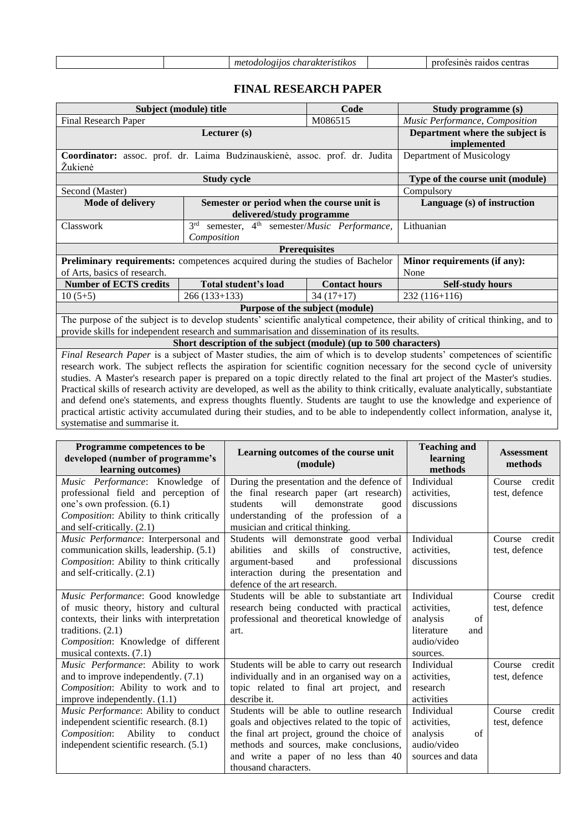| m<br>∙nı.<br>$\iota\iota\mathbf{n}\iota\iota$<br>$\cdots$ | <br>. .<br> |  |
|-----------------------------------------------------------|-------------|--|
|-----------------------------------------------------------|-------------|--|

# **FINAL RESEARCH PAPER**

<span id="page-15-0"></span>

| Subject (module) title                                                                                                                                                                                                                                                                                                                                                                                                                                                                                                                                                                                                                                                                                                                                                                                                                                      |                                                                                             | Code                            | Study programme (s)                                                                                                             |  |  |  |  |
|-------------------------------------------------------------------------------------------------------------------------------------------------------------------------------------------------------------------------------------------------------------------------------------------------------------------------------------------------------------------------------------------------------------------------------------------------------------------------------------------------------------------------------------------------------------------------------------------------------------------------------------------------------------------------------------------------------------------------------------------------------------------------------------------------------------------------------------------------------------|---------------------------------------------------------------------------------------------|---------------------------------|---------------------------------------------------------------------------------------------------------------------------------|--|--|--|--|
| Final Research Paper                                                                                                                                                                                                                                                                                                                                                                                                                                                                                                                                                                                                                                                                                                                                                                                                                                        | Music Performance, Composition                                                              |                                 |                                                                                                                                 |  |  |  |  |
|                                                                                                                                                                                                                                                                                                                                                                                                                                                                                                                                                                                                                                                                                                                                                                                                                                                             | Department where the subject is<br>implemented                                              |                                 |                                                                                                                                 |  |  |  |  |
| Coordinator: assoc. prof. dr. Laima Budzinauskienė, assoc. prof. dr. Judita<br>Žukienė                                                                                                                                                                                                                                                                                                                                                                                                                                                                                                                                                                                                                                                                                                                                                                      | Department of Musicology                                                                    |                                 |                                                                                                                                 |  |  |  |  |
|                                                                                                                                                                                                                                                                                                                                                                                                                                                                                                                                                                                                                                                                                                                                                                                                                                                             | <b>Study cycle</b>                                                                          |                                 | Type of the course unit (module)                                                                                                |  |  |  |  |
| Second (Master)                                                                                                                                                                                                                                                                                                                                                                                                                                                                                                                                                                                                                                                                                                                                                                                                                                             |                                                                                             |                                 | Compulsory                                                                                                                      |  |  |  |  |
| <b>Mode of delivery</b>                                                                                                                                                                                                                                                                                                                                                                                                                                                                                                                                                                                                                                                                                                                                                                                                                                     | Semester or period when the course unit is<br>delivered/study programme                     |                                 | Language (s) of instruction                                                                                                     |  |  |  |  |
| Classwork                                                                                                                                                                                                                                                                                                                                                                                                                                                                                                                                                                                                                                                                                                                                                                                                                                                   | semester, 4 <sup>th</sup> semester/Music Performance,<br>3 <sup>rd</sup><br>Composition     |                                 | Lithuanian                                                                                                                      |  |  |  |  |
|                                                                                                                                                                                                                                                                                                                                                                                                                                                                                                                                                                                                                                                                                                                                                                                                                                                             |                                                                                             |                                 |                                                                                                                                 |  |  |  |  |
| of Arts, basics of research.                                                                                                                                                                                                                                                                                                                                                                                                                                                                                                                                                                                                                                                                                                                                                                                                                                | Preliminary requirements: competences acquired during the studies of Bachelor               |                                 | Minor requirements (if any):<br>None                                                                                            |  |  |  |  |
| <b>Number of ECTS credits</b>                                                                                                                                                                                                                                                                                                                                                                                                                                                                                                                                                                                                                                                                                                                                                                                                                               | <b>Total student's load</b>                                                                 | <b>Contact hours</b>            | <b>Self-study hours</b>                                                                                                         |  |  |  |  |
| $10(5+5)$                                                                                                                                                                                                                                                                                                                                                                                                                                                                                                                                                                                                                                                                                                                                                                                                                                                   | $266(133+133)$                                                                              | $34(17+17)$                     | $232(116+116)$                                                                                                                  |  |  |  |  |
|                                                                                                                                                                                                                                                                                                                                                                                                                                                                                                                                                                                                                                                                                                                                                                                                                                                             |                                                                                             | Purpose of the subject (module) |                                                                                                                                 |  |  |  |  |
|                                                                                                                                                                                                                                                                                                                                                                                                                                                                                                                                                                                                                                                                                                                                                                                                                                                             | provide skills for independent research and summarisation and dissemination of its results. |                                 | The purpose of the subject is to develop students' scientific analytical competence, their ability of critical thinking, and to |  |  |  |  |
|                                                                                                                                                                                                                                                                                                                                                                                                                                                                                                                                                                                                                                                                                                                                                                                                                                                             |                                                                                             |                                 |                                                                                                                                 |  |  |  |  |
| Short description of the subject (module) (up to 500 characters)<br>Final Research Paper is a subject of Master studies, the aim of which is to develop students' competences of scientific<br>research work. The subject reflects the aspiration for scientific cognition necessary for the second cycle of university<br>studies. A Master's research paper is prepared on a topic directly related to the final art project of the Master's studies.<br>Practical skills of research activity are developed, as well as the ability to think critically, evaluate analytically, substantiate<br>and defend one's statements, and express thoughts fluently. Students are taught to use the knowledge and experience of<br>practical artistic activity accumulated during their studies, and to be able to independently collect information, analyse it, |                                                                                             |                                 |                                                                                                                                 |  |  |  |  |
| systematise and summarise it.                                                                                                                                                                                                                                                                                                                                                                                                                                                                                                                                                                                                                                                                                                                                                                                                                               |                                                                                             |                                 |                                                                                                                                 |  |  |  |  |

| Programme competences to be<br>developed (number of programme's<br>learning outcomes) | Learning outcomes of the course unit<br>(module)                        | <b>Teaching and</b><br>learning<br>methods | <b>Assessment</b><br>methods |
|---------------------------------------------------------------------------------------|-------------------------------------------------------------------------|--------------------------------------------|------------------------------|
| Music Performance: Knowledge<br>of                                                    | During the presentation and the defence of                              | Individual                                 | Course credit                |
| professional field and perception of                                                  | the final research paper (art research)                                 | activities.                                | test, defence                |
| one's own profession. (6.1)                                                           | students<br>will<br>demonstrate<br>good                                 | discussions                                |                              |
| Composition: Ability to think critically<br>and self-critically. (2.1)                | understanding of the profession of a<br>musician and critical thinking. |                                            |                              |
| Music Performance: Interpersonal and                                                  | Students will demonstrate good verbal                                   | Individual                                 | Course<br>credit             |
| communication skills, leadership. (5.1)                                               | skills of<br>abilities<br>and<br>constructive.                          | activities.                                | test, defence                |
| Composition: Ability to think critically                                              | argument-based<br>professional<br>and                                   | discussions                                |                              |
| and self-critically. (2.1)                                                            | interaction during the presentation and                                 |                                            |                              |
|                                                                                       | defence of the art research.                                            |                                            |                              |
| Music Performance: Good knowledge                                                     | Students will be able to substantiate art                               | Individual                                 | credit<br>Course             |
| of music theory, history and cultural                                                 | research being conducted with practical                                 | activities,                                | test, defence                |
| contexts, their links with interpretation                                             | professional and theoretical knowledge of                               | $\sigma$ f<br>analysis                     |                              |
| traditions. $(2.1)$                                                                   | art.                                                                    | literature<br>and                          |                              |
| Composition: Knowledge of different                                                   |                                                                         | audio/video                                |                              |
| musical contexts. (7.1)                                                               |                                                                         | sources.                                   |                              |
| Music Performance: Ability to work                                                    | Students will be able to carry out research                             | Individual                                 | Course<br>credit             |
| and to improve independently. $(7.1)$                                                 | individually and in an organised way on a                               | activities,                                | test, defence                |
| Composition: Ability to work and to                                                   | topic related to final art project, and                                 | research                                   |                              |
| improve independently. (1.1)                                                          | describe it.                                                            | activities                                 |                              |
| Music Performance: Ability to conduct                                                 | Students will be able to outline research                               | Individual                                 | Course credit                |
| independent scientific research. (8.1)                                                | goals and objectives related to the topic of                            | activities.                                | test, defence                |
| Composition: Ability to conduct                                                       | the final art project, ground the choice of                             | analysis<br>of                             |                              |
| independent scientific research. (5.1)                                                | methods and sources, make conclusions,                                  | audio/video                                |                              |
|                                                                                       | and write a paper of no less than 40                                    | sources and data                           |                              |
|                                                                                       | thousand characters.                                                    |                                            |                              |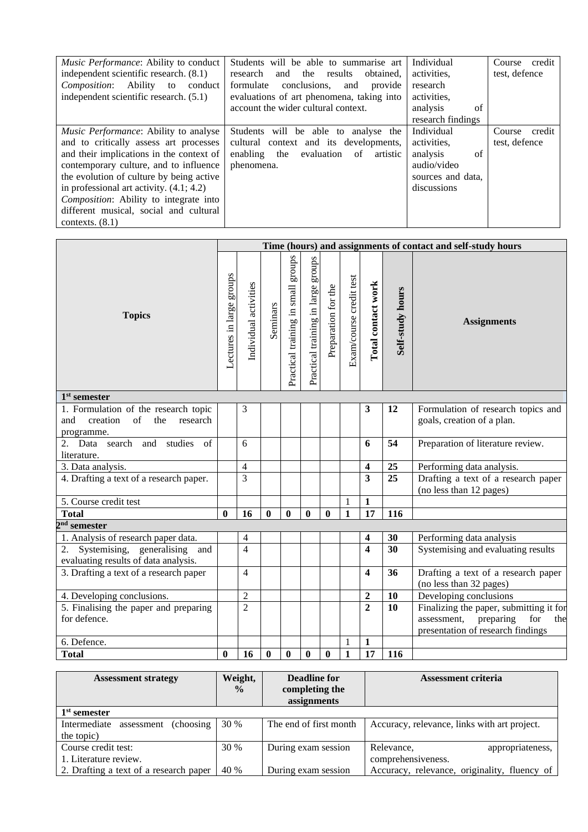| <i>Music Performance:</i> Ability to conduct<br>independent scientific research. (8.1)<br>Composition: Ability to<br>conduct<br>independent scientific research. $(5.1)$                                                                                                                                                                                                               | Students will be able to summarise art<br>and the<br>research<br>results<br>obtained.<br>conclusions.<br>formulate<br>provide<br>and<br>evaluations of art phenomena, taking into | Individual<br>activities,<br>research<br>activities,                                           | Course credit<br>test, defence    |
|----------------------------------------------------------------------------------------------------------------------------------------------------------------------------------------------------------------------------------------------------------------------------------------------------------------------------------------------------------------------------------------|-----------------------------------------------------------------------------------------------------------------------------------------------------------------------------------|------------------------------------------------------------------------------------------------|-----------------------------------|
|                                                                                                                                                                                                                                                                                                                                                                                        | account the wider cultural context.                                                                                                                                               | analysis<br>of<br>research findings                                                            |                                   |
| <i>Music Performance:</i> Ability to analyse<br>and to critically assess art processes<br>and their implications in the context of<br>contemporary culture, and to influence<br>the evolution of culture by being active<br>in professional art activity. $(4.1; 4.2)$<br><i>Composition:</i> Ability to integrate into<br>different musical, social and cultural<br>contexts. $(8.1)$ | Students will be able to<br>analyse the<br>cultural context and its developments,<br>enabling the<br>evaluation<br>of<br>artistic<br>phenomena.                                   | Individual<br>activities,<br>of<br>analysis<br>audio/video<br>sources and data,<br>discussions | Course<br>credit<br>test, defence |

|                                                                                                |                          |                          |              |                                    |                                       |                     |                         |                         |                  | Time (hours) and assignments of contact and self-study hours                                                           |
|------------------------------------------------------------------------------------------------|--------------------------|--------------------------|--------------|------------------------------------|---------------------------------------|---------------------|-------------------------|-------------------------|------------------|------------------------------------------------------------------------------------------------------------------------|
| <b>Topics</b>                                                                                  | Lectures in large groups | Individual activities    | Seminars     | Practical training in small groups | sdnorg<br>Practical training in large | Preparation for the | Exam/course credit test | Total contact work      | Self-study hours | <b>Assignments</b>                                                                                                     |
| $1st$ semester                                                                                 |                          |                          |              |                                    |                                       |                     |                         |                         |                  |                                                                                                                        |
| 1. Formulation of the research topic<br>creation<br>of<br>and<br>the<br>research<br>programme. |                          | 3                        |              |                                    |                                       |                     |                         | 3                       | 12               | Formulation of research topics and<br>goals, creation of a plan.                                                       |
| studies<br>Data<br>search and<br>of                                                            |                          | 6                        |              |                                    |                                       |                     |                         | 6                       | 54               | Preparation of literature review.                                                                                      |
| literature.                                                                                    |                          |                          |              |                                    |                                       |                     |                         |                         |                  |                                                                                                                        |
| 3. Data analysis.                                                                              |                          | $\overline{4}$           |              |                                    |                                       |                     |                         | $\overline{\mathbf{4}}$ | 25               | Performing data analysis.                                                                                              |
| 4. Drafting a text of a research paper.                                                        |                          | $\overline{3}$           |              |                                    |                                       |                     |                         | $\overline{\mathbf{3}}$ | 25               | Drafting a text of a research paper<br>(no less than 12 pages)                                                         |
| 5. Course credit test                                                                          |                          |                          |              |                                    |                                       |                     | $\mathbf{1}$            | $\mathbf{1}$            |                  |                                                                                                                        |
| <b>Total</b>                                                                                   | $\bf{0}$                 | 16                       | $\mathbf{0}$ | $\bf{0}$                           | $\bf{0}$                              | $\bf{0}$            | $\mathbf{1}$            | $\overline{17}$         | 116              |                                                                                                                        |
| $2nd$ semester                                                                                 |                          |                          |              |                                    |                                       |                     |                         |                         |                  |                                                                                                                        |
| 1. Analysis of research paper data.                                                            |                          | $\overline{\mathcal{A}}$ |              |                                    |                                       |                     |                         | $\overline{\mathbf{4}}$ | 30               | Performing data analysis                                                                                               |
| Systemising, generalising and<br>2.<br>evaluating results of data analysis.                    |                          | $\overline{4}$           |              |                                    |                                       |                     |                         | $\overline{\mathbf{4}}$ | 30               | Systemising and evaluating results                                                                                     |
| 3. Drafting a text of a research paper                                                         |                          | $\overline{4}$           |              |                                    |                                       |                     |                         | $\overline{\mathbf{4}}$ | 36               | Drafting a text of a research paper<br>(no less than 32 pages)                                                         |
| 4. Developing conclusions.                                                                     |                          | $\mathfrak{2}$           |              |                                    |                                       |                     |                         | $\boldsymbol{2}$        | 10               | Developing conclusions                                                                                                 |
| 5. Finalising the paper and preparing<br>for defence.                                          |                          | $\overline{2}$           |              |                                    |                                       |                     |                         | $\overline{2}$          | 10               | Finalizing the paper, submitting it for<br>assessment,<br>preparing<br>for<br>the<br>presentation of research findings |
| 6. Defence.                                                                                    |                          |                          |              |                                    |                                       |                     | 1                       | $\mathbf{1}$            |                  |                                                                                                                        |
| <b>Total</b>                                                                                   | $\bf{0}$                 | 16                       | $\bf{0}$     | $\bf{0}$                           | $\bf{0}$                              | $\bf{0}$            | $\mathbf{1}$            | 17                      | 116              |                                                                                                                        |

| <b>Assessment strategy</b>               | Weight,       | Deadline for           | <b>Assessment criteria</b>                   |
|------------------------------------------|---------------|------------------------|----------------------------------------------|
|                                          | $\frac{0}{0}$ | completing the         |                                              |
|                                          |               | assignments            |                                              |
| 1 <sup>st</sup> semester                 |               |                        |                                              |
| Intermediate<br>(choosing)<br>assessment | 30 %          | The end of first month | Accuracy, relevance, links with art project. |
| the topic)                               |               |                        |                                              |
| Course credit test:                      | 30 %          | During exam session    | Relevance,<br>appropriateness,               |
| 1. Literature review.                    |               |                        | comprehensiveness.                           |
| 2. Drafting a text of a research paper   | 40 %          | During exam session    | Accuracy, relevance, originality, fluency of |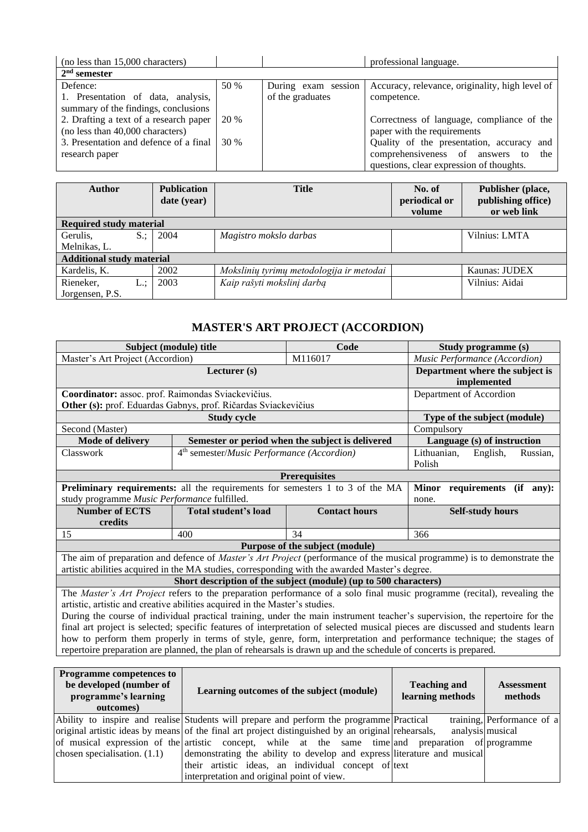| (no less than 15,000 characters)       |      |                     | professional language.                          |
|----------------------------------------|------|---------------------|-------------------------------------------------|
| $2nd$ semester                         |      |                     |                                                 |
| Defence:                               | 50 % | During exam session | Accuracy, relevance, originality, high level of |
| 1. Presentation of data, analysis,     |      | of the graduates    | competence.                                     |
| summary of the findings, conclusions   |      |                     |                                                 |
| 2. Drafting a text of a research paper | 20 % |                     | Correctness of language, compliance of the      |
| (no less than 40,000 characters)       |      |                     | paper with the requirements                     |
| 3. Presentation and defence of a final | 30%  |                     | Quality of the presentation, accuracy and       |
| research paper                         |      |                     | comprehensiveness of answers<br>the<br>to       |
|                                        |      |                     | questions, clear expression of thoughts.        |

| <b>Author</b>                    | <b>Publication</b><br>date (year) | <b>Title</b>                             | No. of<br>periodical or<br>volume | Publisher (place,<br>publishing office)<br>or web link |
|----------------------------------|-----------------------------------|------------------------------------------|-----------------------------------|--------------------------------------------------------|
| <b>Required study material</b>   |                                   |                                          |                                   |                                                        |
| $S$ :<br>Gerulis,                | 2004                              | Magistro mokslo darbas                   |                                   | Vilnius: LMTA                                          |
| Melnikas, L.                     |                                   |                                          |                                   |                                                        |
| <b>Additional study material</b> |                                   |                                          |                                   |                                                        |
| Kardelis, K.                     | 2002                              | Mokslinių tyrimų metodologija ir metodai |                                   | Kaunas: JUDEX                                          |
| Rieneker,<br>$L$ :               | 2003                              | Kaip rašyti mokslinį darbą               |                                   | Vilnius: Aidai                                         |
| Jorgensen, P.S.                  |                                   |                                          |                                   |                                                        |

# **MASTER'S ART PROJECT (ACCORDION)**

<span id="page-17-0"></span>

|                                                                                                                      | Subject (module) title                                                               | Code                                                                                           | Study programme (s)                                                                                                            |  |  |  |  |
|----------------------------------------------------------------------------------------------------------------------|--------------------------------------------------------------------------------------|------------------------------------------------------------------------------------------------|--------------------------------------------------------------------------------------------------------------------------------|--|--|--|--|
| Master's Art Project (Accordion)                                                                                     |                                                                                      | M116017                                                                                        | Music Performance (Accordion)                                                                                                  |  |  |  |  |
|                                                                                                                      | Department where the subject is<br>implemented                                       |                                                                                                |                                                                                                                                |  |  |  |  |
| Coordinator: assoc. prof. Raimondas Sviackevičius.                                                                   |                                                                                      | Department of Accordion                                                                        |                                                                                                                                |  |  |  |  |
|                                                                                                                      | Other (s): prof. Eduardas Gabnys, prof. Ričardas Sviackevičius                       |                                                                                                |                                                                                                                                |  |  |  |  |
|                                                                                                                      | <b>Study cycle</b>                                                                   |                                                                                                | Type of the subject (module)                                                                                                   |  |  |  |  |
| Second (Master)                                                                                                      |                                                                                      |                                                                                                | Compulsory                                                                                                                     |  |  |  |  |
| <b>Mode of delivery</b>                                                                                              |                                                                                      | Semester or period when the subject is delivered                                               | Language (s) of instruction                                                                                                    |  |  |  |  |
| Classwork                                                                                                            | 4 <sup>th</sup> semester/ <i>Music Performance</i> (Accordion)                       | Lithuanian,<br>English,<br>Russian,<br>Polish                                                  |                                                                                                                                |  |  |  |  |
| <b>Prerequisites</b>                                                                                                 |                                                                                      |                                                                                                |                                                                                                                                |  |  |  |  |
|                                                                                                                      | <b>Preliminary requirements:</b> all the requirements for semesters 1 to 3 of the MA | <b>Minor</b><br>requirements (if<br>$an v$ :                                                   |                                                                                                                                |  |  |  |  |
| study programme Music Performance fulfilled.                                                                         |                                                                                      |                                                                                                | none.                                                                                                                          |  |  |  |  |
| <b>Number of ECTS</b>                                                                                                | Total student's load                                                                 | <b>Contact hours</b>                                                                           | <b>Self-study hours</b>                                                                                                        |  |  |  |  |
| credits                                                                                                              |                                                                                      |                                                                                                |                                                                                                                                |  |  |  |  |
| 15                                                                                                                   | 400                                                                                  | 34                                                                                             | 366                                                                                                                            |  |  |  |  |
|                                                                                                                      |                                                                                      | Purpose of the subject (module)                                                                |                                                                                                                                |  |  |  |  |
|                                                                                                                      |                                                                                      |                                                                                                | The aim of preparation and defence of <i>Master's Art Project</i> (performance of the musical programme) is to demonstrate the |  |  |  |  |
|                                                                                                                      |                                                                                      | artistic abilities acquired in the MA studies, corresponding with the awarded Master's degree. |                                                                                                                                |  |  |  |  |
|                                                                                                                      |                                                                                      | Short description of the subject (module) (up to 500 characters)                               |                                                                                                                                |  |  |  |  |
|                                                                                                                      |                                                                                      |                                                                                                | The <i>Master's Art Project</i> refers to the preparation performance of a solo final music programme (recital), revealing the |  |  |  |  |
|                                                                                                                      | artistic, artistic and creative abilities acquired in the Master's studies.          |                                                                                                |                                                                                                                                |  |  |  |  |
|                                                                                                                      |                                                                                      |                                                                                                | During the course of individual practical training, under the main instrument teacher's supervision, the repertoire for the    |  |  |  |  |
|                                                                                                                      |                                                                                      |                                                                                                | final art project is selected; specific features of interpretation of selected musical pieces are discussed and students learn |  |  |  |  |
| how to perform them properly in terms of style, genre, form, interpretation and performance technique; the stages of |                                                                                      |                                                                                                |                                                                                                                                |  |  |  |  |

repertoire preparation are planned, the plan of rehearsals is drawn up and the schedule of concerts is prepared.

| <b>Programme competences to</b><br>be developed (number of<br>programme's learning<br>outcomes) | Learning outcomes of the subject (module)                                                          | <b>Teaching and</b><br>learning methods | <b>Assessment</b><br>methods |
|-------------------------------------------------------------------------------------------------|----------------------------------------------------------------------------------------------------|-----------------------------------------|------------------------------|
|                                                                                                 | Ability to inspire and realise Students will prepare and perform the programme Practical           |                                         | training, Performance of a   |
|                                                                                                 | original artistic ideas by means of the final art project distinguished by an original rehearsals, | analysis musical                        |                              |
|                                                                                                 | of musical expression of the artistic concept, while at the same time and preparation of programme |                                         |                              |
| chosen specialisation. $(1.1)$                                                                  | demonstrating the ability to develop and express literature and musical                            |                                         |                              |
|                                                                                                 | their artistic ideas, an individual concept of text                                                |                                         |                              |
|                                                                                                 | interpretation and original point of view.                                                         |                                         |                              |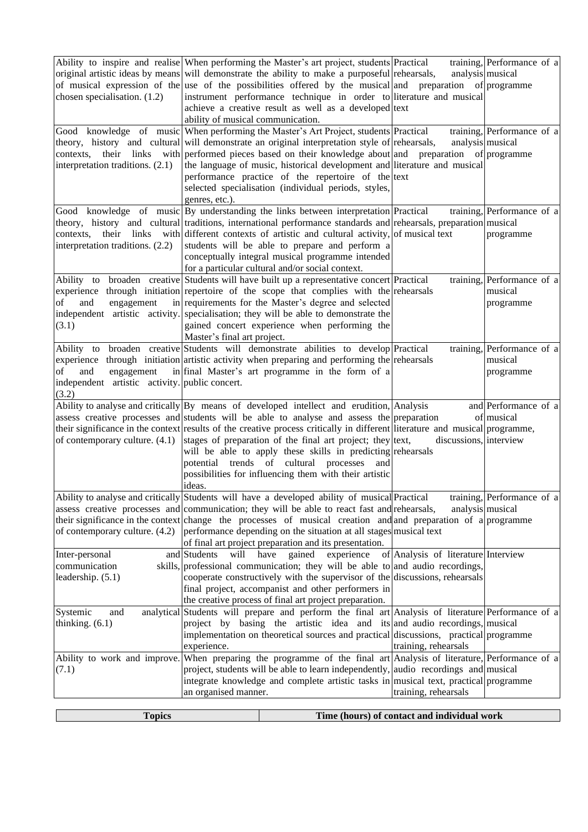| chosen specialisation. (1.2)                                                                     | ability of musical communication. | Ability to inspire and realise When performing the Master's art project, students Practical<br>original artistic ideas by means will demonstrate the ability to make a purposeful rehearsals,<br>of musical expression of the use of the possibilities offered by the musical and preparation of programme<br>instrument performance technique in order to literature and musical<br>achieve a creative result as well as a developed text                                                                                                                                                   | analysis musical                            | training, Performance of $a$                       |
|--------------------------------------------------------------------------------------------------|-----------------------------------|----------------------------------------------------------------------------------------------------------------------------------------------------------------------------------------------------------------------------------------------------------------------------------------------------------------------------------------------------------------------------------------------------------------------------------------------------------------------------------------------------------------------------------------------------------------------------------------------|---------------------------------------------|----------------------------------------------------|
| contexts.<br>interpretation traditions. (2.1)                                                    | genres, etc.).                    | Good knowledge of music When performing the Master's Art Project, students Practical<br>theory, history and cultural will demonstrate an original interpretation style of rehearsals,<br>their links with performed pieces based on their knowledge about and preparation of programme<br>the language of music, historical development and literature and musical<br>performance practice of the repertoire of the text<br>selected specialisation (individual periods, styles,                                                                                                             | analysis musical                            | training, Performance of a                         |
| contexts.<br>interpretation traditions. (2.2)                                                    |                                   | Good knowledge of music By understanding the links between interpretation Practical<br>theory, history and cultural traditions, international performance standards and rehearsals, preparation musical<br>their links with different contexts of artistic and cultural activity, of musical text<br>students will be able to prepare and perform a<br>conceptually integral musical programme intended<br>for a particular cultural and/or social context.                                                                                                                                  |                                             | training, Performance of a<br>programme            |
| of<br>and<br>engagement<br>(3.1)                                                                 | Master's final art project.       | Ability to broaden creative Students will have built up a representative concert Practical<br>experience through initiation repertoire of the scope that complies with the rehearsals<br>in requirements for the Master's degree and selected<br>independent artistic activity. specialisation; they will be able to demonstrate the<br>gained concert experience when performing the                                                                                                                                                                                                        |                                             | training, Performance of a<br>musical<br>programme |
| Ability to<br>of<br>and<br>engagement<br>independent artistic activity. public concert.<br>(3.2) |                                   | broaden creative Students will demonstrate abilities to develop Practical<br>experience through initiation artistic activity when preparing and performing the rehearsals<br>in final Master's art programme in the form of a                                                                                                                                                                                                                                                                                                                                                                |                                             | training, Performance of a<br>musical<br>programme |
|                                                                                                  | ideas.                            | Ability to analyse and critically By means of developed intellect and erudition, Analysis<br>assess creative processes and students will be able to analyse and assess the preparation<br>their significance in the context results of the creative process critically in different literature and musical programme,<br>of contemporary culture. $(4.1)$ stages of preparation of the final art project; they ltext,<br>will be able to apply these skills in predicting rehearsals<br>potential trends of cultural processes and<br>possibilities for influencing them with their artistic | discussions, interview                      | and Performance of a<br>of musical                 |
| of contemporary culture. (4.2)                                                                   |                                   | Ability to analyse and critically Students will have a developed ability of musical Practical<br>assess creative processes and communication; they will be able to react fast and rehearsals,<br>their significance in the context change the processes of musical creation and and preparation of a programme<br>performance depending on the situation at all stages musical text<br>of final art project preparation and its presentation.                                                                                                                                                | analysis musical                            | training, Performance of a                         |
| Inter-personal<br>communication<br>leadership. (5.1)                                             | will have<br>and Students         | gained<br>experience<br>skills, professional communication; they will be able to and audio recordings,<br>cooperate constructively with the supervisor of the discussions, rehearsals<br>final project, accompanist and other performers in<br>the creative process of final art project preparation.                                                                                                                                                                                                                                                                                        | of Analysis of literature Interview         |                                                    |
| Systemic<br>and<br>thinking. $(6.1)$                                                             | experience.                       | analytical Students will prepare and perform the final art Analysis of literature Performance of a<br>project by basing the artistic idea and its and audio recordings, musical<br>implementation on theoretical sources and practical discussions, practical programme                                                                                                                                                                                                                                                                                                                      | training, rehearsals                        |                                                    |
| (7.1)                                                                                            | an organised manner.              | Ability to work and improve. When preparing the programme of the final art Analysis of literature, Performance of a<br>project, students will be able to learn independently, audio recordings and musical<br>integrate knowledge and complete artistic tasks in musical text, practical programme                                                                                                                                                                                                                                                                                           | training, rehearsals                        |                                                    |
| <b>Topics</b>                                                                                    |                                   |                                                                                                                                                                                                                                                                                                                                                                                                                                                                                                                                                                                              | Time (hours) of contact and individual work |                                                    |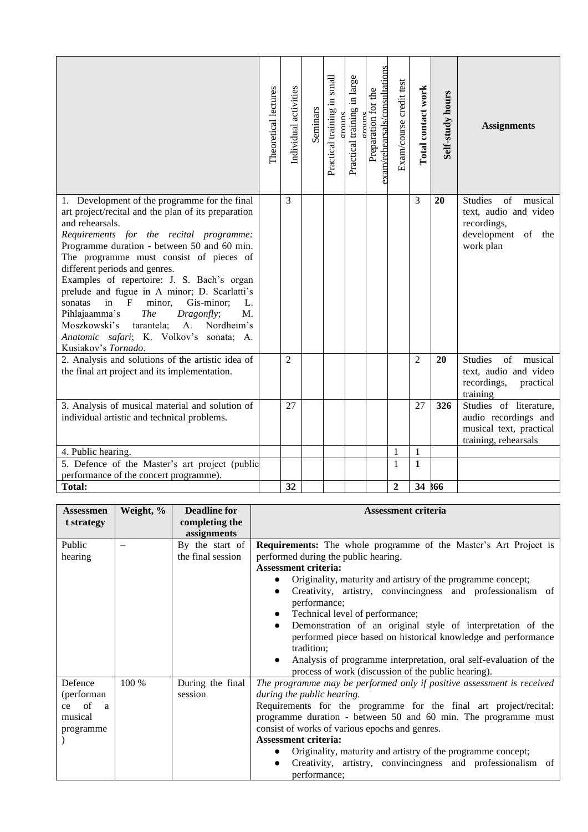|                                                                                                                                                                                                                                                                                                                                                                                                                                                                                                                                                                                                                                  | Theoretical lectures | Individual activities | Seminars | Practical training in small<br>$\alpha$ r $\alpha$ uns | Practical training in large | exam/rehearsals/consultations<br>Preparation for the | Exam/course credit test | Total contact work | Self-study hours | <b>Assignments</b>                                                                                      |
|----------------------------------------------------------------------------------------------------------------------------------------------------------------------------------------------------------------------------------------------------------------------------------------------------------------------------------------------------------------------------------------------------------------------------------------------------------------------------------------------------------------------------------------------------------------------------------------------------------------------------------|----------------------|-----------------------|----------|--------------------------------------------------------|-----------------------------|------------------------------------------------------|-------------------------|--------------------|------------------|---------------------------------------------------------------------------------------------------------|
| 1. Development of the programme for the final<br>art project/recital and the plan of its preparation<br>and rehearsals.<br>Requirements for the recital programme:<br>Programme duration - between 50 and 60 min.<br>The programme must consist of pieces of<br>different periods and genres.<br>Examples of repertoire: J. S. Bach's organ<br>prelude and fugue in A minor; D. Scarlatti's<br>minor,<br>Gis-minor;<br>in<br>$\mathbf F$<br>L.<br>sonatas<br>Pihlajaamma's<br><i>The</i><br>Dragonfly;<br>M.<br>Moszkowski's<br>Nordheim's<br>tarantela;<br>A.<br>Anatomic safari; K. Volkov's sonata; A.<br>Kusiakov's Tornado. |                      | 3                     |          |                                                        |                             |                                                      |                         | 3                  | 20               | <b>Studies</b><br>of musical<br>text, audio and video<br>recordings,<br>development of the<br>work plan |
| 2. Analysis and solutions of the artistic idea of<br>the final art project and its implementation.                                                                                                                                                                                                                                                                                                                                                                                                                                                                                                                               |                      | $\overline{2}$        |          |                                                        |                             |                                                      |                         | $\overline{2}$     | 20               | <b>Studies</b><br>of<br>musical<br>text, audio and video<br>recordings,<br>practical<br>training        |
| 3. Analysis of musical material and solution of<br>individual artistic and technical problems.                                                                                                                                                                                                                                                                                                                                                                                                                                                                                                                                   |                      | 27                    |          |                                                        |                             |                                                      |                         | 27                 | 326              | Studies of literature,<br>audio recordings and<br>musical text, practical<br>training, rehearsals       |
| 4. Public hearing.                                                                                                                                                                                                                                                                                                                                                                                                                                                                                                                                                                                                               |                      |                       |          |                                                        |                             |                                                      | 1                       | $\mathbf{1}$       |                  |                                                                                                         |
| 5. Defence of the Master's art project (public                                                                                                                                                                                                                                                                                                                                                                                                                                                                                                                                                                                   |                      |                       |          |                                                        |                             |                                                      | $\mathbf{1}$            | $\mathbf{1}$       |                  |                                                                                                         |
| performance of the concert programme).                                                                                                                                                                                                                                                                                                                                                                                                                                                                                                                                                                                           |                      |                       |          |                                                        |                             |                                                      |                         |                    |                  |                                                                                                         |
| <b>Total:</b>                                                                                                                                                                                                                                                                                                                                                                                                                                                                                                                                                                                                                    |                      | 32                    |          |                                                        |                             |                                                      | $\boldsymbol{2}$        | 34 566             |                  |                                                                                                         |

| <b>Assessmen</b> | Weight, % | <b>Deadline for</b> | <b>Assessment criteria</b>                                                  |
|------------------|-----------|---------------------|-----------------------------------------------------------------------------|
| t strategy       |           | completing the      |                                                                             |
|                  |           | assignments         |                                                                             |
| Public           |           | By the start of     | <b>Requirements:</b> The whole programme of the Master's Art Project is     |
| hearing          |           | the final session   | performed during the public hearing.                                        |
|                  |           |                     | <b>Assessment criteria:</b>                                                 |
|                  |           |                     | Originality, maturity and artistry of the programme concept;                |
|                  |           |                     | Creativity, artistry, convincingness and professionalism of<br>performance; |
|                  |           |                     |                                                                             |
|                  |           |                     | Technical level of performance;                                             |
|                  |           |                     | Demonstration of an original style of interpretation of the                 |
|                  |           |                     | performed piece based on historical knowledge and performance               |
|                  |           |                     | tradition;                                                                  |
|                  |           |                     | Analysis of programme interpretation, oral self-evaluation of the           |
|                  |           |                     | process of work (discussion of the public hearing).                         |
| Defence          | 100 %     | During the final    | The programme may be performed only if positive assessment is received      |
| (performan       |           | session             | during the public hearing.                                                  |
| ce of<br>a       |           |                     | Requirements for the programme for the final art project/recital:           |
| musical          |           |                     | programme duration - between 50 and 60 min. The programme must              |
| programme        |           |                     | consist of works of various epochs and genres.                              |
|                  |           |                     | <b>Assessment criteria:</b>                                                 |
|                  |           |                     | Originality, maturity and artistry of the programme concept;                |
|                  |           |                     | Creativity, artistry, convincingness and professionalism of                 |
|                  |           |                     | performance;                                                                |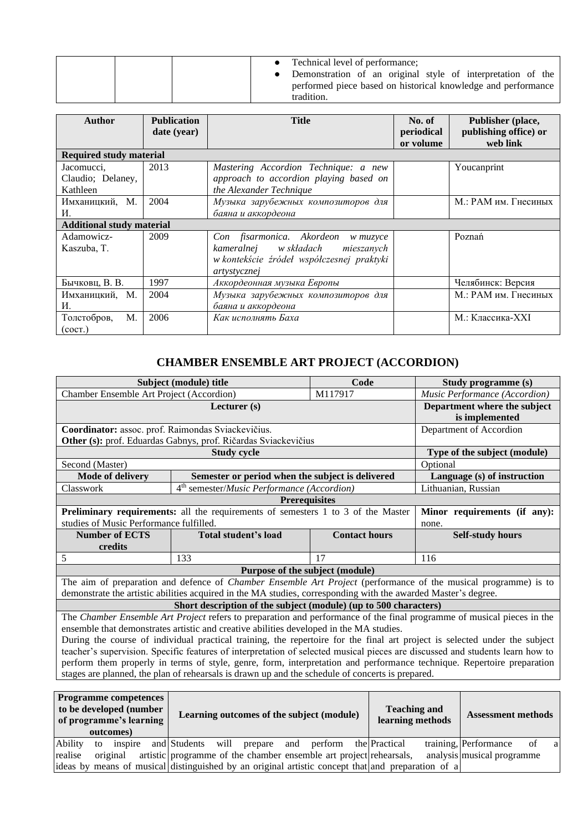| Technical level of performance;<br>Demonstration of an original style of interpretation of the<br>performed piece based on historical knowledge and performance<br>tradition. |
|-------------------------------------------------------------------------------------------------------------------------------------------------------------------------------|
|-------------------------------------------------------------------------------------------------------------------------------------------------------------------------------|

| <b>Author</b>                    | <b>Publication</b> | <b>Title</b>                              | No. of     | Publisher (place,     |
|----------------------------------|--------------------|-------------------------------------------|------------|-----------------------|
|                                  | date (year)        |                                           | periodical | publishing office) or |
|                                  |                    |                                           | or volume  | web link              |
| <b>Required study material</b>   |                    |                                           |            |                       |
| Jacomucci.                       | 2013               | Mastering Accordion Technique: a new      |            | Youcanprint           |
| Claudio; Delaney,                |                    | approach to accordion playing based on    |            |                       |
| Kathleen                         |                    | the Alexander Technique                   |            |                       |
| Имханицкий, М.                   | 2004               | Музыка зарубежных композиторов для        |            | М.: РАМ им. Гнесиных  |
| И.                               |                    | баяна и аккордеона                        |            |                       |
| <b>Additional study material</b> |                    |                                           |            |                       |
| Adamowicz-                       | 2009               | Con fisarmonica. Akordeon<br>w muzyce     |            | Poznań                |
| Kaszuba, T.                      |                    | kameralnej w składach<br>mieszanych       |            |                       |
|                                  |                    | w kontekście źródeł współczesnej praktyki |            |                       |
|                                  |                    | artystycznej                              |            |                       |
| Бычковц, В. В.                   | 1997               | Аккордеонная музыка Европы                |            | Челябинск: Версия     |
| Имханицкий, М.                   | 2004               | Музыка зарубежных композиторов для        |            | М.: РАМ им. Гнесиных  |
| И.                               |                    | баяна и аккордеона                        |            |                       |
| M.<br>Толстобров,                | 2006               | Как исполнять Баха                        |            | М.: Классика-XXI      |
| (cocr.)                          |                    |                                           |            |                       |

### **CHAMBER ENSEMBLE ART PROJECT (ACCORDION)**

<span id="page-20-0"></span>

| Subject (module) title                                                                                                 | Code                                                                                                                          |                               | Study programme (s)     |          |                              |  |  |  |
|------------------------------------------------------------------------------------------------------------------------|-------------------------------------------------------------------------------------------------------------------------------|-------------------------------|-------------------------|----------|------------------------------|--|--|--|
| Chamber Ensemble Art Project (Accordion)                                                                               |                                                                                                                               | Music Performance (Accordion) |                         |          |                              |  |  |  |
|                                                                                                                        | Lecturer (s)                                                                                                                  |                               |                         |          | Department where the subject |  |  |  |
|                                                                                                                        |                                                                                                                               |                               |                         |          | is implemented               |  |  |  |
| Coordinator: assoc. prof. Raimondas Sviackevičius.                                                                     |                                                                                                                               |                               |                         |          | Department of Accordion      |  |  |  |
|                                                                                                                        | Other (s): prof. Eduardas Gabnys, prof. Ričardas Sviackevičius                                                                |                               |                         |          |                              |  |  |  |
|                                                                                                                        |                                                                                                                               | Type of the subject (module)  |                         |          |                              |  |  |  |
| Second (Master)                                                                                                        |                                                                                                                               |                               |                         | Optional |                              |  |  |  |
| <b>Mode of delivery</b>                                                                                                | Semester or period when the subject is delivered                                                                              |                               |                         |          | Language (s) of instruction  |  |  |  |
| Classwork                                                                                                              | 4 <sup>th</sup> semester/Music Performance (Accordion)                                                                        |                               |                         |          | Lithuanian, Russian          |  |  |  |
| <b>Prerequisites</b>                                                                                                   |                                                                                                                               |                               |                         |          |                              |  |  |  |
| <b>Preliminary requirements:</b> all the requirements of semesters 1 to 3 of the Master                                |                                                                                                                               | Minor requirements (if any):  |                         |          |                              |  |  |  |
| studies of Music Performance fulfilled.                                                                                | none.                                                                                                                         |                               |                         |          |                              |  |  |  |
| <b>Number of ECTS</b>                                                                                                  | <b>Total student's load</b>                                                                                                   |                               | <b>Self-study hours</b> |          |                              |  |  |  |
| credits                                                                                                                |                                                                                                                               |                               |                         |          |                              |  |  |  |
| 5                                                                                                                      | 116                                                                                                                           |                               |                         |          |                              |  |  |  |
|                                                                                                                        | Purpose of the subject (module)                                                                                               |                               |                         |          |                              |  |  |  |
|                                                                                                                        | The aim of preparation and defence of <i>Chamber Ensemble Art Project</i> (performance of the musical programme) is to        |                               |                         |          |                              |  |  |  |
|                                                                                                                        | demonstrate the artistic abilities acquired in the MA studies, corresponding with the awarded Master's degree.                |                               |                         |          |                              |  |  |  |
|                                                                                                                        | Short description of the subject (module) (up to 500 characters)                                                              |                               |                         |          |                              |  |  |  |
|                                                                                                                        | The Chamber Ensemble Art Project refers to preparation and performance of the final programme of musical pieces in the        |                               |                         |          |                              |  |  |  |
|                                                                                                                        | ensemble that demonstrates artistic and creative abilities developed in the MA studies.                                       |                               |                         |          |                              |  |  |  |
|                                                                                                                        | During the course of individual practical training, the repertoire for the final art project is selected under the subject    |                               |                         |          |                              |  |  |  |
|                                                                                                                        | teacher's supervision. Specific features of interpretation of selected musical pieces are discussed and students learn how to |                               |                         |          |                              |  |  |  |
| perform them properly in terms of style, genre, form, interpretation and performance technique. Repertoire preparation |                                                                                                                               |                               |                         |          |                              |  |  |  |
|                                                                                                                        |                                                                                                                               |                               |                         |          |                              |  |  |  |
|                                                                                                                        | stages are planned, the plan of rehearsals is drawn up and the schedule of concerts is prepared.                              |                               |                         |          |                              |  |  |  |
| <b>Programme competences</b>                                                                                           |                                                                                                                               |                               |                         |          |                              |  |  |  |

| TT021 annihe competences<br>to be developed (number<br>of programme's learning<br>outcomes) |               |  | Learning outcomes of the subject (module) |  |  |     |         |  | <b>Teaching and</b><br>learning methods                                                           | <b>Assessment methods</b> |                            |    |              |
|---------------------------------------------------------------------------------------------|---------------|--|-------------------------------------------|--|--|-----|---------|--|---------------------------------------------------------------------------------------------------|---------------------------|----------------------------|----|--------------|
| Ability                                                                                     | inspire<br>to |  | and Students will prepare                 |  |  | and | perform |  | the Practical                                                                                     |                           | training, Performance      | of | <sub>a</sub> |
| realise                                                                                     | original      |  |                                           |  |  |     |         |  | artistic programme of the chamber ensemble art project rehearsals,                                |                           | analysis musical programme |    |              |
|                                                                                             |               |  |                                           |  |  |     |         |  | ideas by means of musical distinguished by an original artistic concept that and preparation of a |                           |                            |    |              |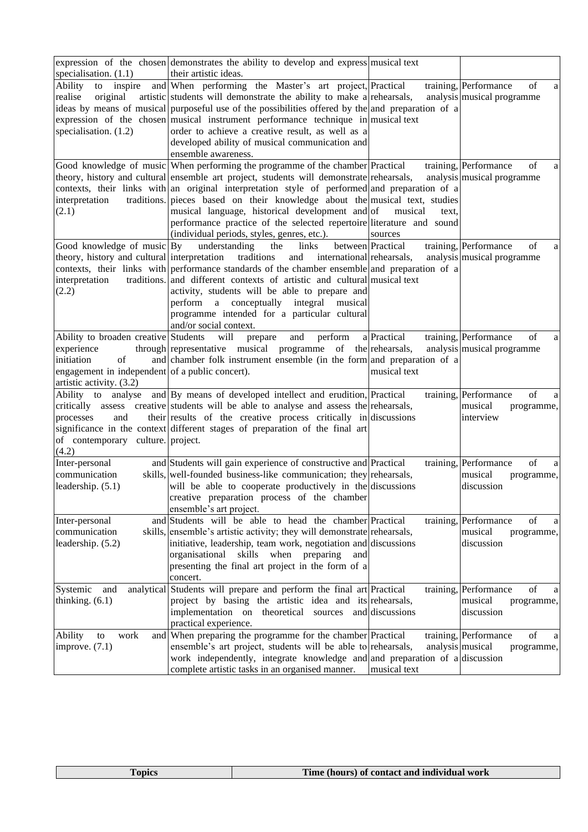| specialisation. $(1.1)$                                                                                                                               | expression of the chosen demonstrates the ability to develop and express musical text<br>their artistic ideas.                                                                                                                                                                                                                                                                                                                                                                                                                       |                                  |                                                                         |
|-------------------------------------------------------------------------------------------------------------------------------------------------------|--------------------------------------------------------------------------------------------------------------------------------------------------------------------------------------------------------------------------------------------------------------------------------------------------------------------------------------------------------------------------------------------------------------------------------------------------------------------------------------------------------------------------------------|----------------------------------|-------------------------------------------------------------------------|
| Ability<br>to inspire<br>realise<br>original<br>specialisation. $(1.2)$                                                                               | and When performing the Master's art project, Practical<br>artistic students will demonstrate the ability to make a rehearsals,<br>ideas by means of musical purposeful use of the possibilities offered by the and preparation of a<br>expression of the chosen musical instrument performance technique in musical text<br>order to achieve a creative result, as well as a<br>developed ability of musical communication and<br>ensemble awareness.                                                                               |                                  | training, Performance<br>of<br>a<br>analysis musical programme          |
| interpretation<br>(2.1)                                                                                                                               | Good knowledge of music When performing the programme of the chamber Practical<br>theory, history and cultural ensemble art project, students will demonstrate rehearsals,<br>contexts, their links with an original interpretation style of performed and preparation of a<br>traditions. pieces based on their knowledge about the musical text, studies<br>musical language, historical development and of<br>performance practice of the selected repertoire literature and sound<br>(individual periods, styles, genres, etc.). | musical<br>text.<br>sources      | training, Performance<br>οf<br>a<br>analysis musical programme          |
| Good knowledge of music By<br>theory, history and cultural interpretation traditions<br>interpretation<br>(2.2)                                       | links<br>understanding<br>the<br>and<br>international rehearsals,<br>contexts, their links with performance standards of the chamber ensemble and preparation of a<br>traditions. and different contexts of artistic and cultural musical text<br>activity, students will be able to prepare and<br>integral<br>perform a conceptually<br>musical<br>programme intended for a particular cultural<br>and/or social context.                                                                                                          | between Practical                | training, Performance<br>of<br>a<br>analysis musical programme          |
| Ability to broaden creative Students<br>experience<br>of<br>initiation<br>engagement in independent of a public concert).<br>artistic activity. (3.2) | will<br>and<br>perform<br>prepare<br>through representative musical programme of the rehearsals,<br>and chamber folk instrument ensemble (in the form and preparation of a                                                                                                                                                                                                                                                                                                                                                           | a Practical<br>musical text      | training, Performance<br>of<br>a<br>analysis musical programme          |
| and<br>processes<br>of contemporary culture. project.<br>(4.2)                                                                                        | Ability to analyse and By means of developed intellect and erudition, Practical<br>critically assess creative students will be able to analyse and assess the rehearsals,<br>their results of the creative process critically in discussions<br>significance in the context different stages of preparation of the final art                                                                                                                                                                                                         |                                  | of<br>training, Performance<br>a<br>musical<br>programme,<br>interview  |
| Inter-personal<br>communication<br>leadership. (5.1)                                                                                                  | and Students will gain experience of constructive and Practical<br>skills, well-founded business-like communication; they rehearsals,<br>will be able to cooperate productively in the discussions<br>creative preparation process of the chamber<br>ensemble's art project.                                                                                                                                                                                                                                                         |                                  | training, Performance<br>of<br>a<br>musical<br>programme,<br>discussion |
| Inter-personal<br>communication<br>leadership. (5.2)                                                                                                  | and Students will be able to head the chamber Practical<br>skills, ensemble's artistic activity; they will demonstrate rehearsals,<br>initiative, leadership, team work, negotiation and discussions<br>skills when preparing<br>organisational<br>and<br>presenting the final art project in the form of a<br>concert.                                                                                                                                                                                                              |                                  | training, Performance<br>of<br>a<br>musical<br>programme,<br>discussion |
| Systemic<br>and<br>thinking. $(6.1)$                                                                                                                  | analytical Students will prepare and perform the final art Practical<br>project by basing the artistic idea and its rehearsals,<br>theoretical sources<br>implementation on<br>practical experience.                                                                                                                                                                                                                                                                                                                                 | and discussions                  | training, Performance<br>of<br>a<br>musical<br>programme,<br>discussion |
| Ability<br>work<br>to<br>improve. (7.1)                                                                                                               | and When preparing the programme for the chamber Practical<br>ensemble's art project, students will be able to rehearsals,<br>work independently, integrate knowledge and and preparation of a discussion<br>complete artistic tasks in an organised manner.                                                                                                                                                                                                                                                                         | analysis musical<br>musical text | training, Performance<br>of<br>a<br>programme,                          |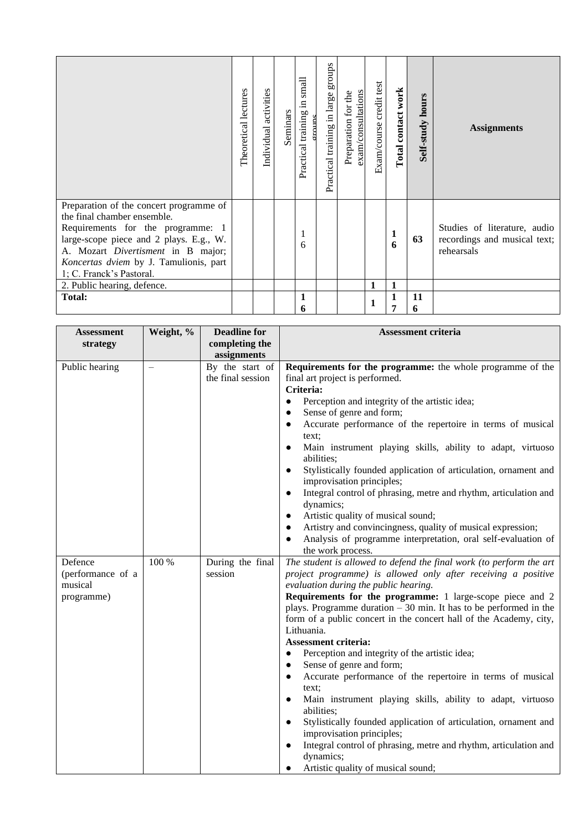|                                                                                                                                                                                                                                                                                                   | Theoretical lectures | activities<br>Individual | Seminars | small<br>$\Xi$<br>training<br>Practical | groups<br>Practical training in large | exam/consultations<br>Preparation for the | Exam/course credit test | Total contact work                | Self-study hours | <b>Assignments</b>                                                         |
|---------------------------------------------------------------------------------------------------------------------------------------------------------------------------------------------------------------------------------------------------------------------------------------------------|----------------------|--------------------------|----------|-----------------------------------------|---------------------------------------|-------------------------------------------|-------------------------|-----------------------------------|------------------|----------------------------------------------------------------------------|
| Preparation of the concert programme of<br>the final chamber ensemble.<br>Requirements for the programme: 1<br>large-scope piece and 2 plays. E.g., W.<br>A. Mozart Divertisment in B major;<br>Koncertas dviem by J. Tamulionis, part<br>1; C. Franck's Pastoral.<br>2. Public hearing, defence. |                      |                          |          | 6                                       |                                       |                                           | 1                       | $\mathbf{1}$<br>6<br>$\mathbf{1}$ | 63               | Studies of literature, audio<br>recordings and musical text;<br>rehearsals |
| <b>Total:</b>                                                                                                                                                                                                                                                                                     |                      |                          |          | 1<br>6                                  |                                       |                                           |                         | 1<br>7                            | 11<br>6          |                                                                            |

| <b>Assessment</b> | Weight, % | <b>Deadline for</b>                  | <b>Assessment criteria</b>                                                                                |
|-------------------|-----------|--------------------------------------|-----------------------------------------------------------------------------------------------------------|
| strategy          |           | completing the                       |                                                                                                           |
|                   |           | assignments                          |                                                                                                           |
| Public hearing    |           | By the start of<br>the final session | Requirements for the programme: the whole programme of the<br>final art project is performed.             |
|                   |           |                                      | Criteria:                                                                                                 |
|                   |           |                                      | Perception and integrity of the artistic idea;<br>$\bullet$                                               |
|                   |           |                                      | Sense of genre and form;<br>$\bullet$                                                                     |
|                   |           |                                      | Accurate performance of the repertoire in terms of musical<br>$\bullet$                                   |
|                   |           |                                      | text:                                                                                                     |
|                   |           |                                      | Main instrument playing skills, ability to adapt, virtuoso<br>$\bullet$<br>abilities;                     |
|                   |           |                                      | Stylistically founded application of articulation, ornament and<br>$\bullet$<br>improvisation principles; |
|                   |           |                                      | Integral control of phrasing, metre and rhythm, articulation and<br>$\bullet$                             |
|                   |           |                                      | dynamics;                                                                                                 |
|                   |           |                                      | Artistic quality of musical sound;<br>$\bullet$                                                           |
|                   |           |                                      | Artistry and convincingness, quality of musical expression;                                               |
|                   |           |                                      | Analysis of programme interpretation, oral self-evaluation of                                             |
|                   |           |                                      | the work process.                                                                                         |
| Defence           | 100 %     | During the final                     | The student is allowed to defend the final work (to perform the art                                       |
| (performance of a |           | session                              | project programme) is allowed only after receiving a positive                                             |
| musical           |           |                                      | evaluation during the public hearing.                                                                     |
| programme)        |           |                                      | Requirements for the programme: 1 large-scope piece and 2                                                 |
|                   |           |                                      | plays. Programme duration $-30$ min. It has to be performed in the                                        |
|                   |           |                                      | form of a public concert in the concert hall of the Academy, city,<br>Lithuania.                          |
|                   |           |                                      | <b>Assessment criteria:</b>                                                                               |
|                   |           |                                      | Perception and integrity of the artistic idea;<br>$\bullet$                                               |
|                   |           |                                      | Sense of genre and form;<br>$\bullet$                                                                     |
|                   |           |                                      | Accurate performance of the repertoire in terms of musical<br>$\bullet$                                   |
|                   |           |                                      | text:                                                                                                     |
|                   |           |                                      | Main instrument playing skills, ability to adapt, virtuoso<br>$\bullet$                                   |
|                   |           |                                      | abilities;                                                                                                |
|                   |           |                                      | Stylistically founded application of articulation, ornament and<br>$\bullet$                              |
|                   |           |                                      | improvisation principles;                                                                                 |
|                   |           |                                      | Integral control of phrasing, metre and rhythm, articulation and<br>$\bullet$                             |
|                   |           |                                      | dynamics;                                                                                                 |
|                   |           |                                      | Artistic quality of musical sound;                                                                        |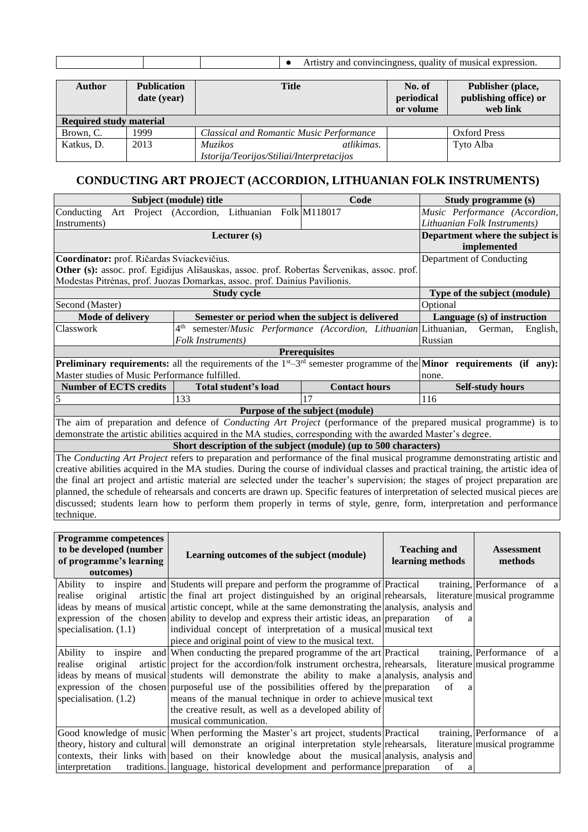| convincingness<br>ана<br>mressior<br>and<br>$^{\prime}$<br>таг с<br>THISIC<br>нтм |
|-----------------------------------------------------------------------------------|
|                                                                                   |

| <b>Author</b>                  | <b>Publication</b><br>date (year) | <b>Title</b>                                    | No. of<br>periodical<br>or volume | Publisher (place,<br>publishing office) or<br>web link |  |  |  |  |  |
|--------------------------------|-----------------------------------|-------------------------------------------------|-----------------------------------|--------------------------------------------------------|--|--|--|--|--|
| <b>Required study material</b> |                                   |                                                 |                                   |                                                        |  |  |  |  |  |
| Brown, C.                      | 1999                              | <b>Classical and Romantic Music Performance</b> |                                   | <b>Oxford Press</b>                                    |  |  |  |  |  |
| Katkus, D.                     | 2013                              | atlikimas.<br><i>Muzikos</i>                    |                                   | Tyto Alba                                              |  |  |  |  |  |
|                                |                                   | Istorija/Teorijos/Stiliai/Interpretacijos       |                                   |                                                        |  |  |  |  |  |

#### **CONDUCTING ART PROJECT (ACCORDION, LITHUANIAN FOLK INSTRUMENTS)**

<span id="page-23-0"></span>

|                                                                                                                                                                                                                                             | Subject (module) title                                                                             | Code                                                          | Study programme (s)                                                                                                                          |  |  |  |  |
|---------------------------------------------------------------------------------------------------------------------------------------------------------------------------------------------------------------------------------------------|----------------------------------------------------------------------------------------------------|---------------------------------------------------------------|----------------------------------------------------------------------------------------------------------------------------------------------|--|--|--|--|
| Conducting                                                                                                                                                                                                                                  | Art Project (Accordion, Lithuanian Folk M118017                                                    |                                                               | Music Performance (Accordion,                                                                                                                |  |  |  |  |
| Instruments)                                                                                                                                                                                                                                |                                                                                                    |                                                               | Lithuanian Folk Instruments)                                                                                                                 |  |  |  |  |
|                                                                                                                                                                                                                                             | Department where the subject is                                                                    |                                                               |                                                                                                                                              |  |  |  |  |
|                                                                                                                                                                                                                                             | implemented                                                                                        |                                                               |                                                                                                                                              |  |  |  |  |
| Coordinator: prof. Ričardas Sviackevičius.                                                                                                                                                                                                  |                                                                                                    |                                                               | Department of Conducting                                                                                                                     |  |  |  |  |
|                                                                                                                                                                                                                                             | <b>Other (s):</b> assoc. prof. Egidijus Ališauskas, assoc. prof. Robertas Šervenikas, assoc. prof. |                                                               |                                                                                                                                              |  |  |  |  |
| Modestas Pitrėnas, prof. Juozas Domarkas, assoc. prof. Dainius Pavilionis.                                                                                                                                                                  |                                                                                                    |                                                               |                                                                                                                                              |  |  |  |  |
|                                                                                                                                                                                                                                             | Type of the subject (module)                                                                       |                                                               |                                                                                                                                              |  |  |  |  |
| Second (Master)                                                                                                                                                                                                                             | Optional                                                                                           |                                                               |                                                                                                                                              |  |  |  |  |
| <b>Mode of delivery</b>                                                                                                                                                                                                                     | Semester or period when the subject is delivered                                                   |                                                               | Language (s) of instruction                                                                                                                  |  |  |  |  |
| Classwork                                                                                                                                                                                                                                   | 4 <sup>th</sup>                                                                                    | semester/Music Performance (Accordion, Lithuanian Lithuanian, | German,<br>English,                                                                                                                          |  |  |  |  |
|                                                                                                                                                                                                                                             | Folk Instruments)                                                                                  |                                                               | Russian                                                                                                                                      |  |  |  |  |
|                                                                                                                                                                                                                                             |                                                                                                    | <b>Prerequisites</b>                                          |                                                                                                                                              |  |  |  |  |
|                                                                                                                                                                                                                                             |                                                                                                    |                                                               | <b>Preliminary requirements:</b> all the requirements of the $1^{st} - 3^{rd}$ semester programme of the <b>Minor</b> requirements (if any): |  |  |  |  |
| Master studies of Music Performance fulfilled.                                                                                                                                                                                              |                                                                                                    |                                                               | none.                                                                                                                                        |  |  |  |  |
| <b>Number of ECTS credits</b>                                                                                                                                                                                                               | Total student's load                                                                               | <b>Contact hours</b>                                          | <b>Self-study hours</b>                                                                                                                      |  |  |  |  |
|                                                                                                                                                                                                                                             | 133                                                                                                | 17                                                            | 116                                                                                                                                          |  |  |  |  |
|                                                                                                                                                                                                                                             | Purpose of the subject (module)                                                                    |                                                               |                                                                                                                                              |  |  |  |  |
| The aim of preparation and defence of <i>Conducting Art Project</i> (performance of the prepared musical programme) is to<br>demonstrate the artistic abilities acquired in the MA studies, corresponding with the awarded Master's degree. |                                                                                                    |                                                               |                                                                                                                                              |  |  |  |  |

**Short description of the subject (module) (up to 500 characters)**

The *Conducting Art Project* refers to preparation and performance of the final musical programme demonstrating artistic and creative abilities acquired in the MA studies. During the course of individual classes and practical training, the artistic idea of the final art project and artistic material are selected under the teacher's supervision; the stages of project preparation are planned, the schedule of rehearsals and concerts are drawn up. Specific features of interpretation of selected musical pieces are discussed; students learn how to perform them properly in terms of style, genre, form, interpretation and performance technique.

| <b>Programme competences</b><br>to be developed (number<br>of programme's learning<br>outcomes) | Learning outcomes of the subject (module)                                                              | <b>Teaching and</b><br>learning methods | <b>Assessment</b><br>methods |
|-------------------------------------------------------------------------------------------------|--------------------------------------------------------------------------------------------------------|-----------------------------------------|------------------------------|
| Ability                                                                                         | to inspire and Students will prepare and perform the programme of Practical                            |                                         | training, Performance of a   |
| realise                                                                                         | original artistic the final art project distinguished by an original rehearsals,                       |                                         | literature musical programme |
|                                                                                                 | ideas by means of musical artistic concept, while at the same demonstrating the analysis, analysis and |                                         |                              |
|                                                                                                 | expression of the chosen ability to develop and express their artistic ideas, an preparation           | of<br>a                                 |                              |
| specialisation. $(1.1)$                                                                         | individual concept of interpretation of a musical musical text                                         |                                         |                              |
|                                                                                                 | piece and original point of view to the musical text.                                                  |                                         |                              |
| Ability                                                                                         | to inspire and When conducting the prepared programme of the art Practical                             |                                         | training, Performance of a   |
| realise<br>original                                                                             | artistic project for the accordion/folk instrument orchestra, rehearsals,                              |                                         | literature musical programme |
|                                                                                                 | ideas by means of musical students will demonstrate the ability to make a analysis, analysis and       |                                         |                              |
|                                                                                                 | expression of the chosen purposeful use of the possibilities offered by the preparation                | of<br>a                                 |                              |
| specialisation. $(1.2)$                                                                         | means of the manual technique in order to achieve musical text                                         |                                         |                              |
|                                                                                                 | the creative result, as well as a developed ability of                                                 |                                         |                              |
|                                                                                                 | musical communication.                                                                                 |                                         |                              |
|                                                                                                 | Good knowledge of music When performing the Master's art project, students Practical                   |                                         | training, Performance of a   |
|                                                                                                 | theory, history and cultural will demonstrate an original interpretation style rehearsals,             |                                         | literature musical programme |
|                                                                                                 | contexts, their links with based on their knowledge about the musical analysis, analysis and           |                                         |                              |
| interpretation                                                                                  | traditions. language, historical development and performance preparation                               | of<br>a                                 |                              |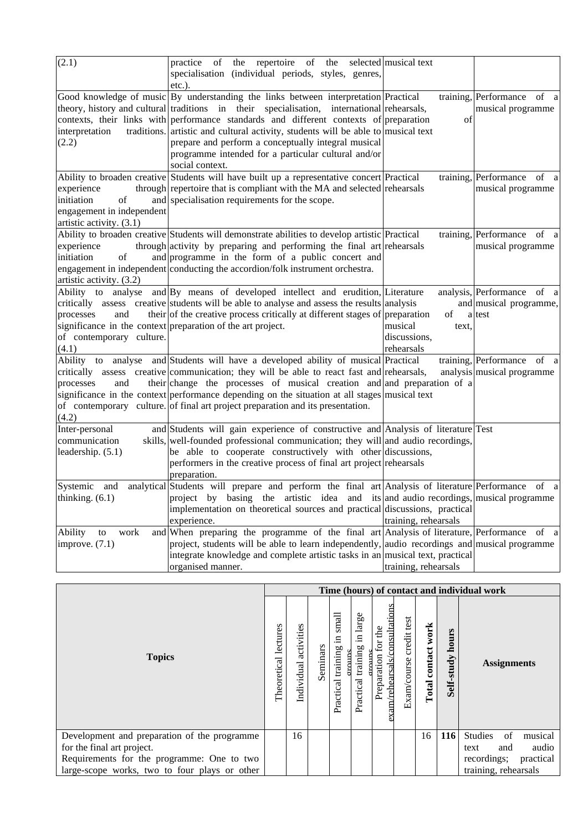| (2.1)                         | repertoire of<br>practice<br>the<br>the<br>of                                                      | selected musical text |                            |
|-------------------------------|----------------------------------------------------------------------------------------------------|-----------------------|----------------------------|
|                               | specialisation (individual periods, styles, genres,                                                |                       |                            |
|                               | $etc.$ ).                                                                                          |                       |                            |
|                               | Good knowledge of music By understanding the links between interpretation Practical                |                       | training, Performance of a |
|                               | theory, history and cultural traditions in their specialisation, international rehearsals,         |                       | musical programme          |
|                               | contexts, their links with performance standards and different contexts of preparation             | of                    |                            |
| interpretation<br>traditions. | artistic and cultural activity, students will be able to musical text                              |                       |                            |
| (2.2)                         | prepare and perform a conceptually integral musical                                                |                       |                            |
|                               | programme intended for a particular cultural and/or                                                |                       |                            |
|                               | social context.                                                                                    |                       |                            |
|                               | Ability to broaden creative Students will have built up a representative concert Practical         |                       | training, Performance of a |
| experience                    | through repertoire that is compliant with the MA and selected rehearsals                           |                       | musical programme          |
| initiation<br>of              | and specialisation requirements for the scope.                                                     |                       |                            |
| engagement in independent     |                                                                                                    |                       |                            |
| artistic activity. (3.1)      |                                                                                                    |                       |                            |
|                               | Ability to broaden creative Students will demonstrate abilities to develop artistic Practical      |                       | training, Performance of a |
| experience                    | through activity by preparing and performing the final art rehearsals                              |                       | musical programme          |
| initiation<br>of              | and programme in the form of a public concert and                                                  |                       |                            |
|                               | engagement in independent conducting the accordion/folk instrument orchestra.                      |                       |                            |
| artistic activity. (3.2)      |                                                                                                    |                       |                            |
|                               | Ability to analyse and By means of developed intellect and erudition, Literature                   |                       | analysis, Performance of a |
|                               | critically assess creative students will be able to analyse and assess the results analysis        |                       | and musical programme,     |
| processes<br>and              | their of the creative process critically at different stages of preparation                        | of                    | a test                     |
|                               | significance in the context preparation of the art project.                                        | musical<br>text.      |                            |
| of contemporary culture.      |                                                                                                    | discussions,          |                            |
| (4.1)                         |                                                                                                    | rehearsals            |                            |
|                               | Ability to analyse and Students will have a developed ability of musical Practical                 |                       | training, Performance of a |
|                               | critically assess creative communication; they will be able to react fast and rehearsals,          |                       | analysis musical programme |
| and<br>processes              | their change the processes of musical creation and and preparation of a                            |                       |                            |
|                               | significance in the context performance depending on the situation at all stages musical text      |                       |                            |
|                               | of contemporary culture. of final art project preparation and its presentation.                    |                       |                            |
| (4.2)                         |                                                                                                    |                       |                            |
| Inter-personal                | and Students will gain experience of constructive and Analysis of literature Test                  |                       |                            |
| communication                 | skills, well-founded professional communication; they will and audio recordings,                   |                       |                            |
| leadership. (5.1)             | be able to cooperate constructively with other discussions,                                        |                       |                            |
|                               | performers in the creative process of final art project rehearsals                                 |                       |                            |
|                               | preparation.                                                                                       |                       |                            |
| Systemic and                  | analytical Students will prepare and perform the final art Analysis of literature Performance of a |                       |                            |
| thinking. $(6.1)$             | project by basing the artistic idea and its and audio recordings, musical programme                |                       |                            |
|                               | implementation on theoretical sources and practical discussions, practical                         |                       |                            |
|                               | experience.                                                                                        | training, rehearsals  |                            |
| work<br>Ability<br>${\rm to}$ | and When preparing the programme of the final art Analysis of literature, Performance of a         |                       |                            |
| improve. $(7.1)$              | project, students will be able to learn independently, audio recordings and musical programme      |                       |                            |
|                               | integrate knowledge and complete artistic tasks in an musical text, practical                      |                       |                            |
|                               | organised manner.                                                                                  | training, rehearsals  |                            |

|                                               |                         |                          |          |                                     |                                         |                                                        |                         |                          |                     | Time (hours) of contact and individual work |
|-----------------------------------------------|-------------------------|--------------------------|----------|-------------------------------------|-----------------------------------------|--------------------------------------------------------|-------------------------|--------------------------|---------------------|---------------------------------------------|
| <b>Topics</b>                                 | lectures<br>Theoretical | activities<br>Individual | Seminars | small<br>Ξ<br>training<br>Practical | large<br>$\Xi$<br>training<br>Practical | am/rehearsals/consultatio<br>the<br>for<br>Preparation | Exam/course credit test | work<br>contact<br>Total | hours<br>Self-study | <b>Assignments</b>                          |
| Development and preparation of the programme  |                         | 16                       |          |                                     |                                         |                                                        |                         | 16                       | <b>116</b>          | <b>Studies</b><br>of<br>musical             |
| for the final art project.                    |                         |                          |          |                                     |                                         |                                                        |                         |                          |                     | audio<br>and<br>text                        |
| Requirements for the programme: One to two    |                         |                          |          |                                     |                                         |                                                        |                         |                          |                     | recordings;<br>practical                    |
| large-scope works, two to four plays or other |                         |                          |          |                                     |                                         |                                                        |                         |                          |                     | training, rehearsals                        |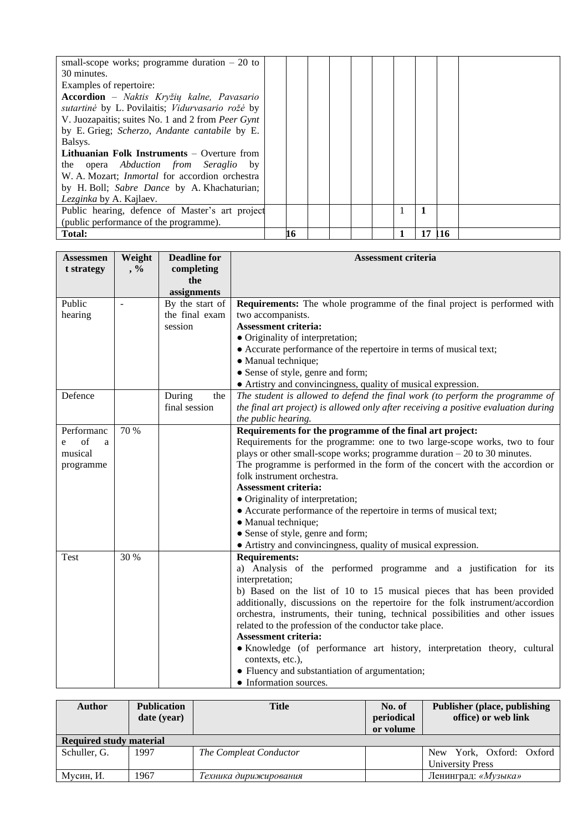| small-scope works; programme duration $-20$ to        |    |  |  |    |     |  |
|-------------------------------------------------------|----|--|--|----|-----|--|
| 30 minutes.                                           |    |  |  |    |     |  |
| Examples of repertoire:                               |    |  |  |    |     |  |
| Accordion - Naktis Kryžių kalne, Pavasario            |    |  |  |    |     |  |
| sutartinė by L. Povilaitis; Vidurvasario rožė by      |    |  |  |    |     |  |
| V. Juozapaitis; suites No. 1 and 2 from Peer Gynt     |    |  |  |    |     |  |
| by E. Grieg; Scherzo, Andante cantabile by E.         |    |  |  |    |     |  |
| Balsys.                                               |    |  |  |    |     |  |
| <b>Lithuanian Folk Instruments</b> $-$ Overture from  |    |  |  |    |     |  |
| the opera <i>Abduction from Seraglio</i> by           |    |  |  |    |     |  |
| W. A. Mozart; <i>Inmortal</i> for accordion orchestra |    |  |  |    |     |  |
| by H. Boll; Sabre Dance by A. Khachaturian;           |    |  |  |    |     |  |
| Lezginka by A. Kajlaev.                               |    |  |  |    |     |  |
| Public hearing, defence of Master's art project       |    |  |  | 1  |     |  |
| (public performance of the programme).                |    |  |  |    |     |  |
| <b>Total:</b>                                         | 16 |  |  | 17 | 116 |  |

| <b>Assessmen</b> | Weight | <b>Deadline for</b> | <b>Assessment criteria</b>                                                          |
|------------------|--------|---------------------|-------------------------------------------------------------------------------------|
| t strategy       | $, \%$ | completing          |                                                                                     |
|                  |        | the                 |                                                                                     |
|                  |        | assignments         |                                                                                     |
| Public           |        | By the start of     | <b>Requirements:</b> The whole programme of the final project is performed with     |
| hearing          |        | the final exam      | two accompanists.                                                                   |
|                  |        | session             | <b>Assessment criteria:</b>                                                         |
|                  |        |                     | • Originality of interpretation;                                                    |
|                  |        |                     | • Accurate performance of the repertoire in terms of musical text;                  |
|                  |        |                     | • Manual technique;                                                                 |
|                  |        |                     | • Sense of style, genre and form;                                                   |
|                  |        |                     | • Artistry and convincingness, quality of musical expression.                       |
| Defence          |        | During<br>the       | The student is allowed to defend the final work (to perform the programme of        |
|                  |        | final session       | the final art project) is allowed only after receiving a positive evaluation during |
|                  |        |                     | the public hearing.                                                                 |
| Performanc       | 70 %   |                     | Requirements for the programme of the final art project:                            |
| of<br>a<br>e     |        |                     | Requirements for the programme: one to two large-scope works, two to four           |
| musical          |        |                     | plays or other small-scope works; programme duration $-20$ to 30 minutes.           |
| programme        |        |                     | The programme is performed in the form of the concert with the accordion or         |
|                  |        |                     | folk instrument orchestra.                                                          |
|                  |        |                     | <b>Assessment criteria:</b>                                                         |
|                  |        |                     | • Originality of interpretation;                                                    |
|                  |        |                     | • Accurate performance of the repertoire in terms of musical text;                  |
|                  |        |                     | • Manual technique;                                                                 |
|                  |        |                     | • Sense of style, genre and form;                                                   |
|                  |        |                     | • Artistry and convincingness, quality of musical expression.                       |
| Test             | 30 %   |                     | <b>Requirements:</b>                                                                |
|                  |        |                     | a) Analysis of the performed programme and a justification for its                  |
|                  |        |                     | interpretation;                                                                     |
|                  |        |                     | b) Based on the list of 10 to 15 musical pieces that has been provided              |
|                  |        |                     | additionally, discussions on the repertoire for the folk instrument/accordion       |
|                  |        |                     | orchestra, instruments, their tuning, technical possibilities and other issues      |
|                  |        |                     | related to the profession of the conductor take place.                              |
|                  |        |                     | <b>Assessment criteria:</b>                                                         |
|                  |        |                     | • Knowledge (of performance art history, interpretation theory, cultural            |
|                  |        |                     | contexts, etc.),                                                                    |
|                  |        |                     | • Fluency and substantiation of argumentation;                                      |
|                  |        |                     | • Information sources.                                                              |

| <b>Author</b>                  | <b>Publication</b><br>date (year) | <b>Title</b>           | No. of<br>periodical<br>or volume | <b>Publisher (place, publishing)</b><br>office) or web link |
|--------------------------------|-----------------------------------|------------------------|-----------------------------------|-------------------------------------------------------------|
| <b>Required study material</b> |                                   |                        |                                   |                                                             |
| Schuller, G.                   | 1997                              | The Compleat Conductor |                                   | New York, Oxford: Oxford<br><b>University Press</b>         |
| Мусин, И.                      | 1967                              | Гехника дирижирования  |                                   | Ленинград: «Музыка»                                         |